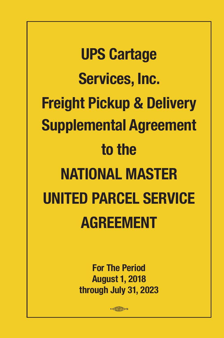**UPS Cartage Services, Inc. Freight Pickup & Delivery Supplemental Agreement to the NATIONAL MASTER UNITED PARCEL SERVICE AGREEMENT**

> **For The Period August 1, 2018 through July 31, 2023**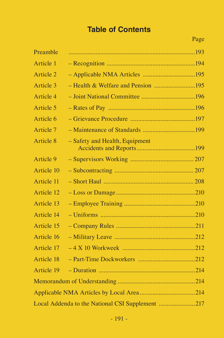# **Table of Contents**

| Preamble   |                                                  |
|------------|--------------------------------------------------|
| Article 1  |                                                  |
| Article 2  |                                                  |
| Article 3  |                                                  |
| Article 4  |                                                  |
| Article 5  |                                                  |
| Article 6  |                                                  |
| Article 7  |                                                  |
| Article 8  | - Safety and Health, Equipment                   |
| Article 9  |                                                  |
| Article 10 |                                                  |
| Article 11 |                                                  |
| Article 12 |                                                  |
| Article 13 |                                                  |
| Article 14 |                                                  |
| Article 15 |                                                  |
| Article 16 |                                                  |
| Article 17 |                                                  |
| Article 18 |                                                  |
| Article 19 |                                                  |
|            |                                                  |
|            |                                                  |
|            | Local Addenda to the National CSI Supplement 217 |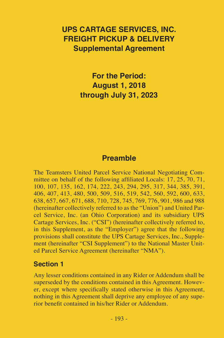# **UPS CARTAGE SERVICES, INC. FREIGHT PICKUP & DELIVERY Supplemental Agreement**

**For the Period: August 1, 2018 through July 31, 2023**

# **Preamble**

The Teamsters United Parcel Service National Negotiating Committee on behalf of the following affiliated Locals: 17, 25, 70, 71, 100, 107, 135, 162, 174, 222, 243, 294, 295, 317, 344, 385, 391, 406, 407, 413, 480, 500, 509, 516, 519, 542, 560, 592, 600, 633, 638, 657, 667, 671, 688, 710, 728, 745, 769, 776, 901, 986 and 988 (hereinafter collectively referred to as the "Union") and United Parcel Service, Inc. (an Ohio Corporation) and its subsidiary UPS Cartage Services, Inc. ("CSI") (hereinafter collectively referred to, in this Supplement, as the "Employer") agree that the following provisions shall constitute the UPS Cartage Services, Inc., Supplement (hereinafter "CSI Supplement") to the National Master United Parcel Service Agreement (hereinafter "NMA").

#### **Section 1**

Any lesser conditions contained in any Rider or Addendum shall be superseded by the conditions contained in this Agreement. However, except where specifically stated otherwise in this Agreement, nothing in this Agreement shall deprive any employee of any superior benefit contained in his/her Rider or Addendum.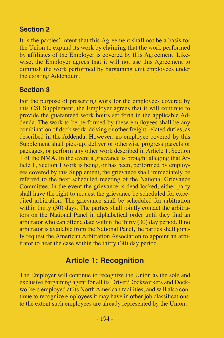## **Section 2**

It is the parties' intent that this Agreement shall not be a basis for the Union to expand its work by claiming that the work performed by affiliates of the Employer is covered by this Agreement. Likewise, the Employer agrees that it will not use this Agreement to diminish the work performed by bargaining unit employees under the existing Addendum.

### **Section 3**

For the purpose of preserving work for the employees covered by this CSI Supplement, the Employer agrees that it will continue to provide the guaranteed work hours set forth in the applicable Addenda. The work to be performed by these employees shall be any combination of dock work, driving or other freight-related duties, as described in the Addenda. However, no employee covered by this Supplement shall pick-up, deliver or otherwise progress parcels or packages, or perform any other work described in Article 1, Section 1 of the NMA. In the event a grievance is brought alleging that Article 1, Section 1 work is being, or has been, performed by employees covered by this Supplement, the grievance shall immediately be referred to the next scheduled meeting of the National Grievance Committee. In the event the grievance is dead locked, either party shall have the right to request the grievance be scheduled for expedited arbitration. The grievance shall be scheduled for arbitration within thirty (30) days. The parties shall jointly contact the arbitrators on the National Panel in alphabetical order until they find an arbitrator who can offer a date within the thirty (30) day period. If no arbitrator is available from the National Panel, the parties shall jointly request the American Arbitration Association to appoint an arbitrator to hear the case within the thirty (30) day period.

## **Article 1: Recognition**

The Employer will continue to recognize the Union as the sole and exclusive bargaining agent for all its Driver/Dockworkers and Dockworkers employed at its North American facilities, and will also continue to recognize employees it may have in other job classifications, to the extent such employees are already represented by the Union.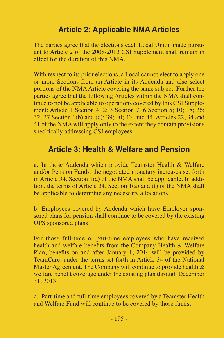# **Article 2: Applicable NMA Articles**

The parties agree that the elections each Local Union made pursuant to Article 2 of the 2008-2013 CSI Supplement shall remain in effect for the duration of this NMA.

With respect to its prior elections, a Local cannot elect to apply one or more Sections from an Article in its Addenda and also select portions of the NMA Article covering the same subject. Further the parties agree that the following Articles within the NMA shall continue to not be applicable to operations covered by this CSI Supplement: Article 1 Section  $4: 2: 3$  Section 7: 6 Section 5:  $10: 18: 26:$ 32; 37 Section 1(b) and (c); 39; 40; 43; and 44. Articles 22, 34 and 41 of the NMA will apply only to the extent they contain provisions specifically addressing CSI employees.

# **Article 3: Health & Welfare and Pension**

a. In those Addenda which provide Teamster Health & Welfare and/or Pension Funds, the negotiated monetary increases set forth in Article 34, Section 1(a) of the NMA shall be applicable. In addition, the terms of Article 34, Section 1(a) and (f) of the NMA shall be applicable to determine any necessary allocations.

b. Employees covered by Addenda which have Employer sponsored plans for pension shall continue to be covered by the existing UPS sponsored plans.

For those full-time or part-time employees who have received health and welfare benefits from the Company Health & Welfare Plan, benefits on and after January 1, 2014 will be provided by TeamCare, under the terms set forth in Article 34 of the National Master Agreement. The Company will continue to provide health & welfare benefit coverage under the existing plan through December 31, 2013.

c. Part-time and full-time employees covered by a Teamster Health and Welfare Fund will continue to be covered by those funds.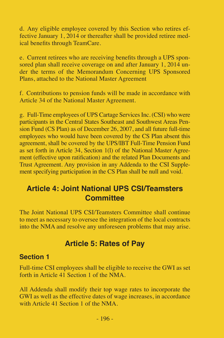d. Any eligible employee covered by this Section who retires effective January 1, 2014 or thereafter shall be provided retiree medical benefits through TeamCare.

e. Current retirees who are receiving benefits through a UPS sponsored plan shall receive coverage on and after January 1, 2014 under the terms of the Memorandum Concerning UPS Sponsored Plans, attached to the National Master Agreement

f. Contributions to pension funds will be made in accordance with Article 34 of the National Master Agreement.

g. Full-Time employees of UPS Cartage Services Inc. (CSI) who were participants in the Central States Southeast and Southwest Areas Pension Fund (CS Plan) as of December 26, 2007, and all future full-time employees who would have been covered by the CS Plan absent this agreement, shall be covered by the UPS/IBT Full-Time Pension Fund as set forth in Article 34, Section 1(l) of the National Master Agreement (effective upon ratification) and the related Plan Documents and Trust Agreement. Any provision in any Addenda to the CSI Supplement specifying participation in the CS Plan shall be null and void.

# **Article 4: Joint National UPS CSI/Teamsters Committee**

The Joint National UPS CSI/Teamsters Committee shall continue to meet as necessary to oversee the integration of the local contracts into the NMA and resolve any unforeseen problems that may arise.

# **Article 5: Rates of Pay**

#### **Section 1**

Full-time CSI employees shall be eligible to receive the GWI as set forth in Article 41 Section 1 of the NMA.

All Addenda shall modify their top wage rates to incorporate the GWI as well as the effective dates of wage increases, in accordance with Article 41 Section 1 of the NMA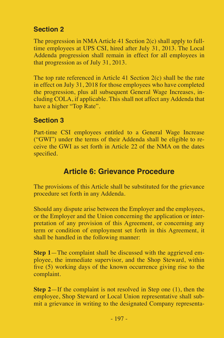# **Section 2**

The progression in NMA Article 41 Section 2(c) shall apply to fulltime employees at UPS CSI, hired after July 31, 2013. The Local Addenda progression shall remain in effect for all employees in that progression as of July 31, 2013.

The top rate referenced in Article 41 Section 2(c) shall be the rate in effect on July 31, 2018 for those employees who have completed the progression, plus all subsequent General Wage Increases, including COLA, if applicable. This shall not affect any Addenda that have a higher "Top Rate".

## **Section 3**

Part-time CSI employees entitled to a General Wage Increase ("GWI") under the terms of their Addenda shall be eligible to receive the GWI as set forth in Article 22 of the NMA on the dates specified.

# **Article 6: Grievance Procedure**

The provisions of this Article shall be substituted for the grievance procedure set forth in any Addenda.

Should any dispute arise between the Employer and the employees, or the Employer and the Union concerning the application or interpretation of any provision of this Agreement, or concerning any term or condition of employment set forth in this Agreement, it shall be handled in the following manner:

**Step 1**—The complaint shall be discussed with the aggrieved employee, the immediate supervisor, and the Shop Steward, within five (5) working days of the known occurrence giving rise to the complaint.

**Step 2—If** the complaint is not resolved in Step one (1), then the employee, Shop Steward or Local Union representative shall submit a grievance in writing to the designated Company representa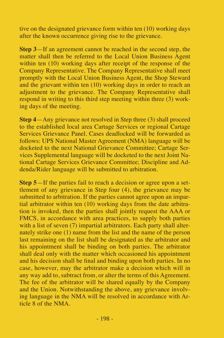tive on the designated grievance form within ten (10) working days after the known occurrence giving rise to the grievance.

**Step 3**—If an agreement cannot be reached in the second step, the matter shall then be referred to the Local Union Business Agent within ten (10) working days after receipt of the response of the Company Representative. The Company Representative shall meet promptly with the Local Union Business Agent, the Shop Steward and the grievant within ten (10) working days in order to reach an adjustment to the grievance. The Company Representative shall respond in writing to this third step meeting within three (3) working days of the meeting.

**Step 4**—Any grievance not resolved in Step three (3) shall proceed to the established local area Cartage Services or regional Cartage Services Grievance Panel. Cases deadlocked will be forwarded as follows: UPS National Master Agreement (NMA) language will be docketed to the next National Grievance Committee; Cartage Services Supplemental language will be docketed to the next Joint National Cartage Services Grievance Committee; Discipline and Addenda/Rider language will be submitted to arbitration.

**Step 5**—If the parties fail to reach a decision or agree upon a settlement of any grievance in Step four (4), the grievance may be submitted to arbitration. If the parties cannot agree upon an impartial arbitrator within ten (10) working days from the date arbitration is invoked, then the parties shall jointly request the AAA or FMCS, in accordance with area practices, to supply both parties with a list of seven (7) impartial arbitrators. Each party shall alternately strike one (1) name from the list and the name of the person last remaining on the list shall be designated as the arbitrator and his appointment shall be binding on both parties. The arbitrator shall deal only with the matter which occasioned his appointment and his decision shall be final and binding upon both parties. In no case, however, may the arbitrator make a decision which will in any way add to, subtract from, or alter the terms of this Agreement. The fee of the arbitrator will be shared equally by the Company and the Union. Notwithstanding the above, any grievance involving language in the NMA will be resolved in accordance with Article 8 of the NMA.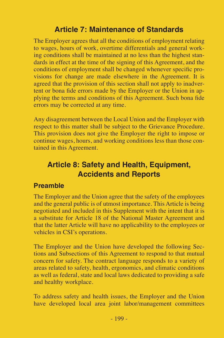# **Article 7: Maintenance of Standards**

The Employer agrees that all the conditions of employment relating to wages, hours of work, overtime differentials and general working conditions shall be maintained at no less than the highest standards in effect at the time of the signing of this Agreement, and the conditions of employment shall be changed whenever specific provisions for change are made elsewhere in the Agreement. It is agreed that the provision of this section shall not apply to inadvertent or bona fide errors made by the Employer or the Union in applying the terms and conditions of this Agreement. Such bona fide errors may be corrected at any time.

Any disagreement between the Local Union and the Employer with respect to this matter shall be subject to the Grievance Procedure. This provision does not give the Employer the right to impose or continue wages, hours, and working conditions less than those contained in this Agreement.

# **Article 8: Safety and Health, Equipment, Accidents and Reports**

### **Preamble**

The Employer and the Union agree that the safety of the employees and the general public is of utmost importance. This Article is being negotiated and included in this Supplement with the intent that it is a substitute for Article 18 of the National Master Agreement and that the latter Article will have no applicability to the employees or vehicles in CSI's operations.

The Employer and the Union have developed the following Sections and Subsections of this Agreement to respond to that mutual concern for safety. The contract language responds to a variety of areas related to safety, health, ergonomics, and climatic conditions as well as federal, state and local laws dedicated to providing a safe and healthy workplace.

To address safety and health issues, the Employer and the Union have developed local area joint labor/management committees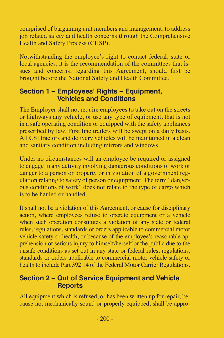comprised of bargaining unit members and management, to address job related safety and health concerns through the Comprehensive Health and Safety Process (CHSP).

Notwithstanding the employee's right to contact federal, state or local agencies, it is the recommendation of the committees that issues and concerns, regarding this Agreement, should first be brought before the National Safety and Health Committee.

### **Section 1 – Employees' Rights – Equipment, Vehicles and Conditions**

The Employer shall not require employees to take out on the streets or highways any vehicle, or use any type of equipment, that is not in a safe operating condition or equipped with the safety appliances prescribed by law. First line trailers will be swept on a daily basis. All CSI tractors and delivery vehicles will be maintained in a clean and sanitary condition including mirrors and windows.

Under no circumstances will an employee be required or assigned to engage in any activity involving dangerous conditions of work or danger to a person or property or in violation of a government regulation relating to safety of person or equipment. The term "dangerous conditions of work" does not relate to the type of cargo which is to be hauled or handled.

It shall not be a violation of this Agreement, or cause for disciplinary action, where employees refuse to operate equipment or a vehicle when such operation constitutes a violation of any state or federal rules, regulations, standards or orders applicable to commercial motor vehicle safety or health, or because of the employee's reasonable apprehension of serious injury to himself/herself or the public due to the unsafe conditions as set out in any state or federal rules, regulations, standards or orders applicable to commercial motor vehicle safety or health to include Part 392.14 of the Federal Motor Carrier Regulations.

### **Section 2 – Out of Service Equipment and Vehicle Reports**

All equipment which is refused, or has been written up for repair, because not mechanically sound or properly equipped, shall be appro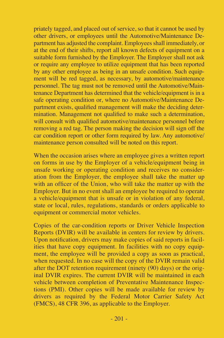priately tagged, and placed out of service, so that it cannot be used by other drivers, or employees until the Automotive/Maintenance Department has adjusted the complaint. Employees shall immediately, or at the end of their shifts, report all known defects of equipment on a suitable form furnished by the Employer. The Employer shall not ask or require any employee to utilize equipment that has been reported by any other employee as being in an unsafe condition. Such equipment will be red tagged, as necessary, by automotive/maintenance personnel. The tag must not be removed until the Automotive/Maintenance Department has determined that the vehicle/equipment is in a safe operating condition or, where no Automotive/Maintenance Department exists, qualified management will make the deciding determination. Management not qualified to make such a determination, will consult with qualified automotive/maintenance personnel before removing a red tag. The person making the decision will sign off the car condition report or other form required by law. Any automotive/ maintenance person consulted will be noted on this report.

When the occasion arises where an employee gives a written report on forms in use by the Employer of a vehicle/equipment being in unsafe working or operating condition and receives no consideration from the Employer, the employee shall take the matter up with an officer of the Union, who will take the matter up with the Employer. But in no event shall an employee be required to operate a vehicle/equipment that is unsafe or in violation of any federal, state or local, rules, regulations, standards or orders applicable to equipment or commercial motor vehicles.

Copies of the car-condition reports or Driver Vehicle Inspection Reports (DVIR) will be available in centers for review by drivers. Upon notification, drivers may make copies of said reports in facilities that have copy equipment. In facilities with no copy equipment, the employee will be provided a copy as soon as practical, when requested. In no case will the copy of the DVIR remain valid after the DOT retention requirement (ninety (90) days) or the original DVIR expires. The current DVIR will be maintained in each vehicle between completion of Preventative Maintenance Inspections (PMI). Other copies will be made available for review by drivers as required by the Federal Motor Carrier Safety Act (FMCS), 48 CFR 396, as applicable to the Employer.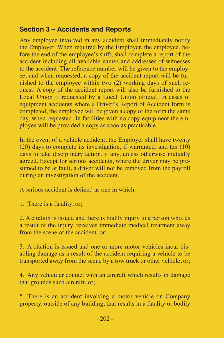## **Section 3 – Accidents and Reports**

Any employee involved in any accident shall immediately notify the Employer. When required by the Employer, the employee, before the end of the employee's shift, shall complete a report of the accident including all available names and addresses of witnesses to the accident. The reference number will be given to the employee, and when requested, a copy of the accident report will be furnished to the employee within two (2) working days of such request. A copy of the accident report will also be furnished to the Local Union if requested by a Local Union official. In cases of equipment accidents where a Driver's Report of Accident form is completed, the employee will be given a copy of the form the same day, when requested. In facilities with no copy equipment the employee will be provided a copy as soon as practicable.

In the event of a vehicle accident, the Employer shall have twenty (20) days to complete its investigation, if warranted, and ten (10) days to take disciplinary action, if any, unless otherwise mutually agreed. Except for serious accidents, where the driver may be presumed to be at fault, a driver will not be removed from the payroll during an investigation of the accident.

A serious accident is defined as one in which:

1. There is a fatality, or;

2. A citation is issued and there is bodily injury to a person who, as a result of the injury, receives immediate medical treatment away from the scene of the accident, or:

3. A citation is issued and one or more motor vehicles incur disabling damage as a result of the accident requiring a vehicle to be transported away from the scene by a tow truck or other vehicle, or;

4. Any vehicular contact with an aircraft which results in damage that grounds such aircraft, or;

5. There is an accident involving a motor vehicle on Company property, outside of any building, that results in a fatality or bodily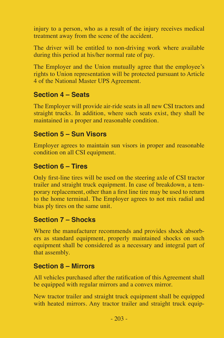injury to a person, who as a result of the injury receives medical treatment away from the scene of the accident.

The driver will be entitled to non-driving work where available during this period at his/her normal rate of pay.

The Employer and the Union mutually agree that the employee's rights to Union representation will be protected pursuant to Article 4 of the National Master UPS Agreement.

## **Section 4 – Seats**

The Employer will provide air-ride seats in all new CSI tractors and straight trucks. In addition, where such seats exist, they shall be maintained in a proper and reasonable condition.

### **Section 5 – Sun Visors**

Employer agrees to maintain sun visors in proper and reasonable condition on all CSI equipment.

## **Section 6 – Tires**

Only first-line tires will be used on the steering axle of CSI tractor trailer and straight truck equipment. In case of breakdown, a temporary replacement, other than a first line tire may be used to return to the home terminal. The Employer agrees to not mix radial and bias ply tires on the same unit.

## **Section 7 – Shocks**

Where the manufacturer recommends and provides shock absorbers as standard equipment, properly maintained shocks on such equipment shall be considered as a necessary and integral part of that assembly.

#### **Section 8 – Mirrors**

All vehicles purchased after the ratification of this Agreement shall be equipped with regular mirrors and a convex mirror.

New tractor trailer and straight truck equipment shall be equipped with heated mirrors. Any tractor trailer and straight truck equip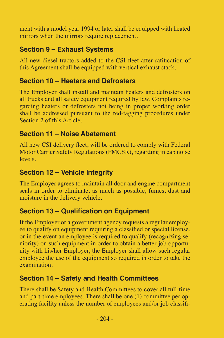ment with a model year 1994 or later shall be equipped with heated mirrors when the mirrors require replacement.

# **Section 9 – Exhaust Systems**

All new diesel tractors added to the CSI fleet after ratification of this Agreement shall be equipped with vertical exhaust stack.

## **Section 10 – Heaters and Defrosters**

The Employer shall install and maintain heaters and defrosters on all trucks and all safety equipment required by law. Complaints regarding heaters or defrosters not being in proper working order shall be addressed pursuant to the red-tagging procedures under Section 2 of this Article.

## **Section 11 – Noise Abatement**

All new CSI delivery fleet, will be ordered to comply with Federal Motor Carrier Safety Regulations (FMCSR), regarding in cab noise levels.

## **Section 12 – Vehicle Integrity**

The Employer agrees to maintain all door and engine compartment seals in order to eliminate, as much as possible, fumes, dust and moisture in the delivery vehicle.

# **Section 13 – Qualification on Equipment**

If the Employer or a government agency requests a regular employee to qualify on equipment requiring a classified or special license, or in the event an employee is required to qualify (recognizing seniority) on such equipment in order to obtain a better job opportunity with his/her Employer, the Employer shall allow such regular employee the use of the equipment so required in order to take the examination.

## **Section 14 – Safety and Health Committees**

There shall be Safety and Health Committees to cover all full-time and part-time employees. There shall be one (1) committee per operating facility unless the number of employees and/or job classifi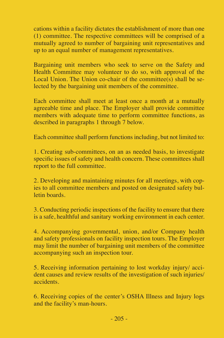cations within a facility dictates the establishment of more than one (1) committee. The respective committees will be comprised of a mutually agreed to number of bargaining unit representatives and up to an equal number of management representatives.

Bargaining unit members who seek to serve on the Safety and Health Committee may volunteer to do so, with approval of the Local Union. The Union co-chair of the committee(s) shall be selected by the bargaining unit members of the committee.

Each committee shall meet at least once a month at a mutually agreeable time and place. The Employer shall provide committee members with adequate time to perform committee functions, as described in paragraphs 1 through 7 below.

Each committee shall perform functions including, but not limited to:

1. Creating sub-committees, on an as needed basis, to investigate specific issues of safety and health concern. These committees shall report to the full committee.

2. Developing and maintaining minutes for all meetings, with copies to all committee members and posted on designated safety bulletin boards.

3. Conducting periodic inspections of the facility to ensure that there is a safe, healthful and sanitary working environment in each center.

4. Accompanying governmental, union, and/or Company health and safety professionals on facility inspection tours. The Employer may limit the number of bargaining unit members of the committee accompanying such an inspection tour.

5. Receiving information pertaining to lost workday injury/ accident causes and review results of the investigation of such injuries/ accidents.

6. Receiving copies of the center's OSHA Illness and Injury logs and the facility's man-hours.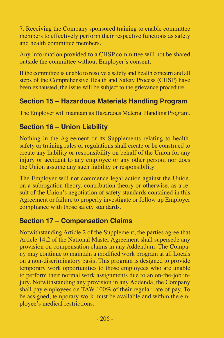7. Receiving the Company sponsored training to enable committee members to effectively perform their respective functions as safety and health committee members.

Any information provided to a CHSP committee will not be shared outside the committee without Employer's consent.

If the committee is unable to resolve a safety and health concern and all steps of the Comprehensive Health and Safety Process (CHSP) have been exhausted, the issue will be subject to the grievance procedure.

## **Section 15 – Hazardous Materials Handling Program**

The Employer will maintain its Hazardous Material Handling Program.

## **Section 16 – Union Liability**

Nothing in the Agreement or its Supplements relating to health, safety or training rules or regulations shall create or be construed to create any liability or responsibility on behalf of the Union for any injury or accident to any employee or any other person; nor does the Union assume any such liability or responsibility.

The Employer will not commence legal action against the Union, on a subrogation theory, contribution theory or otherwise, as a result of the Union's negotiation of safety standards contained in this Agreement or failure to properly investigate or follow up Employer compliance with those safety standards.

## **Section 17 – Compensation Claims**

Notwithstanding Article 2 of the Supplement, the parties agree that Article 14.2 of the National Master Agreement shall supersede any provision on compensation claims in any Addendum. The Company may continue to maintain a modified work program at all Locals on a non-discriminatory basis. This program is designed to provide temporary work opportunities to those employees who are unable to perform their normal work assignments due to an on-the-job injury. Notwithstanding any provision in any Addenda, the Company shall pay employees on TAW 100% of their regular rate of pay. To be assigned, temporary work must be available and within the employee's medical restrictions.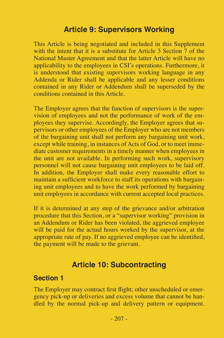## **Article 9: Supervisors Working**

This Article is being negotiated and included in this Supplement with the intent that it is a substitute for Article 3 Section 7 of the National Master Agreement and that the latter Article will have no applicability to the employees in CSI's operations. Furthermore, it is understood that existing supervisors working language in any Addenda or Rider shall be applicable and any lesser conditions contained in any Rider or Addendum shall be superseded by the conditions contained in this Article.

The Employer agrees that the function of supervisors is the supervision of employees and not the performance of work of the employees they supervise. Accordingly, the Employer agrees that supervisors or other employees of the Employer who are not members of the bargaining unit shall not perform any bargaining unit work, except while training, in instances of Acts of God, or to meet immediate customer requirements in a timely manner when employees in the unit are not available. In performing such work, supervisory personnel will not cause bargaining unit employees to be laid off. In addition, the Employer shall make every reasonable effort to maintain a sufficient workforce to staff its operations with bargaining unit employees and to have the work performed by bargaining unit employees in accordance with current accepted local practices.

If it is determined at any step of the grievance and/or arbitration procedure that this Section, or a "supervisor working" provision in an Addendum or Rider has been violated, the aggrieved employee will be paid for the actual hours worked by the supervisor, at the appropriate rate of pay. If no aggrieved employee can be identified, the payment will be made to the grievant.

## **Article 10: Subcontracting**

#### **Section 1**

The Employer may contract first flight; other unscheduled or emergency pick-up or deliveries and excess volume that cannot be handled by the normal pick-up and delivery pattern or equipment.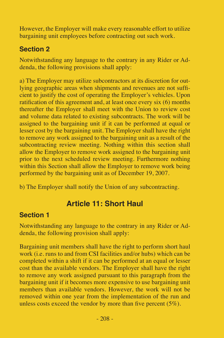However, the Employer will make every reasonable effort to utilize bargaining unit employees before contracting out such work.

# **Section 2**

Notwithstanding any language to the contrary in any Rider or Addenda, the following provisions shall apply:

a) The Employer may utilize subcontractors at its discretion for outlying geographic areas when shipments and revenues are not sufficient to justify the cost of operating the Employer's vehicles. Upon ratification of this agreement and, at least once every six (6) months thereafter the Employer shall meet with the Union to review cost and volume data related to existing subcontracts. The work will be assigned to the bargaining unit if it can be performed at equal or lesser cost by the bargaining unit. The Employer shall have the right to remove any work assigned to the bargaining unit as a result of the subcontracting review meeting. Nothing within this section shall allow the Employer to remove work assigned to the bargaining unit prior to the next scheduled review meeting. Furthermore nothing within this Section shall allow the Employer to remove work being performed by the bargaining unit as of December 19, 2007.

b) The Employer shall notify the Union of any subcontracting.

# **Article 11: Short Haul**

## **Section 1**

Notwithstanding any language to the contrary in any Rider or Addenda, the following provision shall apply:

Bargaining unit members shall have the right to perform short haul work (i.e. runs to and from CSI facilities and/or hubs) which can be completed within a shift if it can be performed at an equal or lesser cost than the available vendors. The Employer shall have the right to remove any work assigned pursuant to this paragraph from the bargaining unit if it becomes more expensive to use bargaining unit members than available vendors. However, the work will not be removed within one year from the implementation of the run and unless costs exceed the vendor by more than five percent (5%).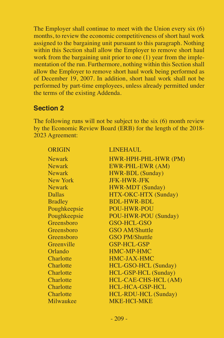The Employer shall continue to meet with the Union every six (6) months, to review the economic competitiveness of short haul work assigned to the bargaining unit pursuant to this paragraph. Nothing within this Section shall allow the Employer to remove short haul work from the bargaining unit prior to one (1) year from the implementation of the run. Furthermore, nothing within this Section shall allow the Employer to remove short haul work being performed as of December 19, 2007. In addition, short haul work shall not be performed by part-time employees, unless already permitted under the terms of the existing Addenda.

### **Section 2**

The following runs will not be subject to the six (6) month review by the Economic Review Board (ERB) for the length of the 2018- 2023 Agreement:

| <b>ORIGIN</b>  | <b>LINEHAUL</b>       |
|----------------|-----------------------|
| <b>Newark</b>  | HWR-HPH-PHL-HWR (PM)  |
| <b>Newark</b>  | EWR-PHL-EWR (AM)      |
| <b>Newark</b>  | HWR-BDL (Sunday)      |
| New York       | <b>JFK-HWR-JFK</b>    |
| <b>Newark</b>  | HWR-MDT (Sunday)      |
| <b>Dallas</b>  | HTX-OKC-HTX (Sunday)  |
| <b>Bradley</b> | <b>BDL-HWR-BDL</b>    |
| Poughkeepsie   | <b>POU-HWR-POU</b>    |
| Poughkeepsie   | POU-HWR-POU (Sunday)  |
| Greensboro     | GSO-HCL-GSO           |
| Greensboro     | <b>GSO AM/Shuttle</b> |
| Greensboro     | <b>GSO PM/Shuttle</b> |
| Greenville     | GSP-HCL-GSP           |
| Orlando        | <b>HMC-MP-HMC</b>     |
| Charlotte      | <b>HMC-JAX-HMC</b>    |
| Charlotte      | HCL-GSO-HCL (Sunday)  |
| Charlotte      | HCL-GSP-HCL (Sunday)  |
| Charlotte      | HCL-CAE-CHS-HCL (AM)  |
| Charlotte      | HCL-HCA-GSP-HCL       |
| Charlotte      | HCL-RDU-HCL (Sunday)  |
| Milwaukee      | <b>MKE-HCI-MKE</b>    |
|                |                       |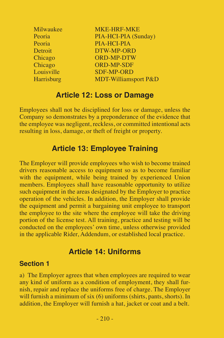| Milwaukee  | MKE-HRF-MKE                     |
|------------|---------------------------------|
| Peoria     | PIA-HCI-PIA (Sunday)            |
| Peoria     | PIA-HCI-PIA                     |
| Detroit    | DTW-MP-ORD                      |
| Chicago    | <b>ORD-MP-DTW</b>               |
| Chicago    | <b>ORD-MP-SDF</b>               |
| Louisville | <b>SDF-MP-ORD</b>               |
| Harrisburg | <b>MDT-Williamsport P&amp;D</b> |

## **Article 12: Loss or Damage**

Employees shall not be disciplined for loss or damage, unless the Company so demonstrates by a preponderance of the evidence that the employee was negligent, reckless, or committed intentional acts resulting in loss, damage, or theft of freight or property.

## **Article 13: Employee Training**

The Employer will provide employees who wish to become trained drivers reasonable access to equipment so as to become familiar with the equipment, while being trained by experienced Union members. Employees shall have reasonable opportunity to utilize such equipment in the areas designated by the Employer to practice operation of the vehicles. In addition, the Employer shall provide the equipment and permit a bargaining unit employee to transport the employee to the site where the employee will take the driving portion of the license test. All training, practice and testing will be conducted on the employees' own time, unless otherwise provided in the applicable Rider, Addendum, or established local practice.

# **Article 14: Uniforms**

#### **Section 1**

a) The Employer agrees that when employees are required to wear any kind of uniform as a condition of employment, they shall furnish, repair and replace the uniforms free of charge. The Employer will furnish a minimum of six (6) uniforms (shirts, pants, shorts). In addition, the Employer will furnish a hat, jacket or coat and a belt.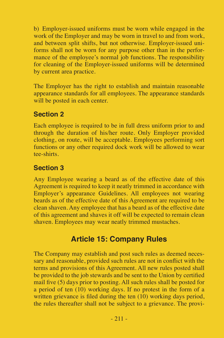b) Employer-issued uniforms must be worn while engaged in the work of the Employer and may be worn in travel to and from work, and between split shifts, but not otherwise. Employer-issued uniforms shall not be worn for any purpose other than in the performance of the employee's normal job functions. The responsibility for cleaning of the Employer-issued uniforms will be determined by current area practice.

The Employer has the right to establish and maintain reasonable appearance standards for all employees. The appearance standards will be posted in each center.

## **Section 2**

Each employee is required to be in full dress uniform prior to and through the duration of his/her route. Only Employer provided clothing, on route, will be acceptable. Employees performing sort functions or any other required dock work will be allowed to wear tee-shirts.

## **Section 3**

Any Employee wearing a beard as of the effective date of this Agreement is required to keep it neatly trimmed in accordance with Employer's appearance Guidelines. All employees not wearing beards as of the effective date of this Agreement are required to be clean shaven. Any employee that has a beard as of the effective date of this agreement and shaves it off will be expected to remain clean shaven. Employees may wear neatly trimmed mustaches.

# **Article 15: Company Rules**

The Company may establish and post such rules as deemed necessary and reasonable, provided such rules are not in conflict with the terms and provisions of this Agreement. All new rules posted shall be provided to the job stewards and be sent to the Union by certified mail five (5) days prior to posting. All such rules shall be posted for a period of ten  $(10)$  working days. If no protest in the form of a written grievance is filed during the ten  $(10)$  working days period, the rules thereafter shall not be subject to a grievance. The provi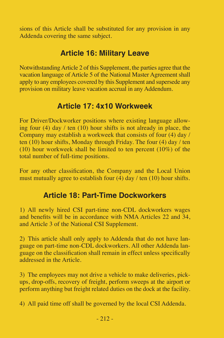sions of this Article shall be substituted for any provision in any Addenda covering the same subject.

# **Article 16: Military Leave**

Notwithstanding Article 2 of this Supplement, the parties agree that the vacation language of Article 5 of the National Master Agreement shall apply to any employees covered by this Supplement and supersede any provision on military leave vacation accrual in any Addendum.

# **Article 17: 4x10 Workweek**

For Driver/Dockworker positions where existing language allowing four (4) day / ten  $(10)$  hour shifts is not already in place, the Company may establish a workweek that consists of four (4) day / ten (10) hour shifts, Monday through Friday. The four (4) day / ten (10) hour workweek shall be limited to ten percent (10%) of the total number of full-time positions.

For any other classification, the Company and the Local Union must mutually agree to establish four  $(4)$  day / ten (10) hour shifts.

# **Article 18: Part-Time Dockworkers**

1) All newly hired CSI part-time non-CDL dockworkers wages and benefits will be in accordance with NMA Articles 22 and 34, and Article 3 of the National CSI Supplement.

2) This article shall only apply to Addenda that do not have language on part-time non-CDL dockworkers. All other Addenda language on the classification shall remain in effect unless specifically addressed in the Article.

3) The employees may not drive a vehicle to make deliveries, pickups, drop-offs, recovery of freight, perform sweeps at the airport or perform anything but freight related duties on the dock at the facility.

4) All paid time off shall be governed by the local CSI Addenda.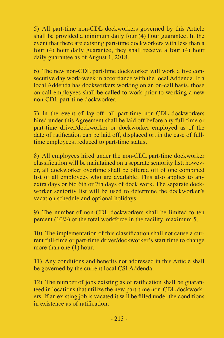5) All part-time non-CDL dockworkers governed by this Article shall be provided a minimum daily four  $(4)$  hour guarantee. In the event that there are existing part-time dockworkers with less than a four (4) hour daily guarantee, they shall receive a four (4) hour daily guarantee as of August 1, 2018.

6) The new non-CDL part-time dockworker will work a five consecutive day work-week in accordance with the local Addenda. If a local Addenda has dockworkers working on an on-call basis, those on-call employees shall be called to work prior to working a new non-CDL part-time dockworker.

7) In the event of lay-off, all part-time non-CDL dockworkers hired under this Agreement shall be laid off before any full-time or part-time driver/dockworker or dockworker employed as of the date of ratification can be laid off, displaced or, in the case of fulltime employees, reduced to part-time status.

8) All employees hired under the non-CDL part-time dockworker classification will be maintained on a separate seniority list; however, all dockworker overtime shall be offered off of one combined list of all employees who are available. This also applies to any extra days or bid 6th or 7th days of dock work. The separate dockworker seniority list will be used to determine the dockworker's vacation schedule and optional holidays.

9) The number of non-CDL dockworkers shall be limited to ten percent (10%) of the total workforce in the facility, maximum 5.

10) The implementation of this classification shall not cause a current full-time or part-time driver/dockworker's start time to change more than one (1) hour.

11) Any conditions and benefits not addressed in this Article shall be governed by the current local CSI Addenda.

12) The number of jobs existing as of ratification shall be guaranteed in locations that utilize the new part-time non-CDL dockworkers. If an existing job is vacated it will be filled under the conditions in existence as of ratification.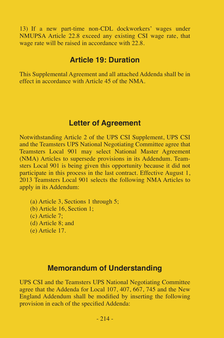13) If a new part-time non-CDL dockworkers' wages under NMUPSA Article 22.8 exceed any existing CSI wage rate, that wage rate will be raised in accordance with  $22.8$ .

### **Article 19: Duration**

This Supplemental Agreement and all attached Addenda shall be in effect in accordance with Article 45 of the NMA.

## **Letter of Agreement**

Notwithstanding Article 2 of the UPS CSI Supplement, UPS CSI and the Teamsters UPS National Negotiating Committee agree that Teamsters Local 901 may select National Master Agreement (NMA) Articles to supersede provisions in its Addendum. Teamsters Local 901 is being given this opportunity because it did not participate in this process in the last contract. Effective August 1, 2013 Teamsters Local 901 selects the following NMA Articles to apply in its Addendum:

(a) Article 3, Sections 1 through 5; (b) Article 16, Section 1; (c) Article 7; (d) Article 8; and (e) Article 17.

### **Memorandum of Understanding**

UPS CSI and the Teamsters UPS National Negotiating Committee agree that the Addenda for Local 107, 407, 667, 745 and the New England Addendum shall be modified by inserting the following provision in each of the specified Addenda: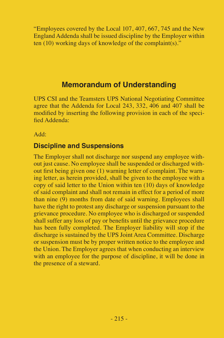"Employees covered by the Local 107, 407, 667, 745 and the New England Addenda shall be issued discipline by the Employer within ten (10) working days of knowledge of the complaint(s)."

# **Memorandum of Understanding**

UPS CSI and the Teamsters UPS National Negotiating Committee agree that the Addenda for Local 243, 332, 406 and 407 shall be modified by inserting the following provision in each of the specified Addenda:

Add:

## **Discipline and Suspensions**

The Employer shall not discharge nor suspend any employee without just cause. No employee shall be suspended or discharged without first being given one (1) warning letter of complaint. The warning letter, as herein provided, shall be given to the employee with a copy of said letter to the Union within ten (10) days of knowledge of said complaint and shall not remain in effect for a period of more than nine  $(\hat{9})$  months from date of said warning. Employees shall have the right to protest any discharge or suspension pursuant to the grievance procedure. No employee who is discharged or suspended shall suffer any loss of pay or benefits until the grievance procedure has been fully completed. The Employer liability will stop if the discharge is sustained by the UPS Joint Area Committee. Discharge or suspension must be by proper written notice to the employee and the Union. The Employer agrees that when conducting an interview with an employee for the purpose of discipline, it will be done in the presence of a steward.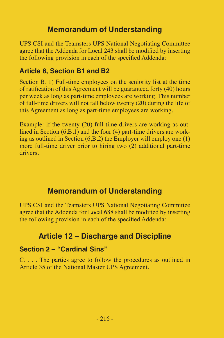# **Memorandum of Understanding**

UPS CSI and the Teamsters UPS National Negotiating Committee agree that the Addenda for Local 243 shall be modified by inserting the following provision in each of the specified Addenda:

### **Article 6, Section B1 and B2**

Section B. 1) Full-time employees on the seniority list at the time of ratification of this Agreement will be guaranteed forty (40) hours per week as long as part-time employees are working. This number of full-time drivers will not fall below twenty (20) during the life of this Agreement as long as part-time employees are working.

Example: if the twenty (20) full-time drivers are working as outlined in Section (6, B, 1) and the four (4) part-time drivers are working as outlined in Section  $(6,B,2)$  the Employer will employ one  $(1)$ more full-time driver prior to hiring two (2) additional part-time drivers.

## **Memorandum of Understanding**

UPS CSI and the Teamsters UPS National Negotiating Committee agree that the Addenda for Local 688 shall be modified by inserting the following provision in each of the specified Addenda:

# **Article 12 – Discharge and Discipline**

## **Section 2 – "Cardinal Sins"**

C. . . . The parties agree to follow the procedures as outlined in Article 35 of the National Master UPS Agreement.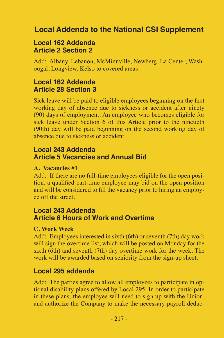# **Local Addenda to the National CSI Supplement**

### **Local 162 Addenda Article 2 Section 2**

Add: Albany, Lebanon, McMinnville, Newberg, La Center, Washougal, Longview, Kelso to covered areas.

## **Local 162 Addenda Article 28 Section 3**

Sick leave will be paid to eligible employees beginning on the first working day of absence due to sickness or accident after ninety (90) days of employment. An employee who becomes eligible for sick leave under Section 6 of this Article prior to the ninetieth (90th) day will be paid beginning on the second working day of absence due to sickness or accident.

#### **Local 243 Addenda Article 5 Vacancies and Annual Bid**

#### **A. Vacancies #1**

Add: If there are no full-time employees eligible for the open position, a qualified part-time employee may bid on the open position and will be considered to fill the vacancy prior to hiring an employee off the street.

### **Local 243 Addenda Article 6 Hours of Work and Overtime**

#### **C. Work Week**

Add: Employees interested in sixth (6th) or seventh (7th) day work will sign the overtime list, which will be posted on Monday for the sixth (6th) and seventh (7th) day overtime work for the week. The work will be awarded based on seniority from the sign-up sheet.

#### **Local 295 addenda**

Add: The parties agree to allow all employees to participate in optional disability plans offered by Local 295. In order to participate in these plans, the employee will need to sign up with the Union, and authorize the Company to make the necessary payroll deduc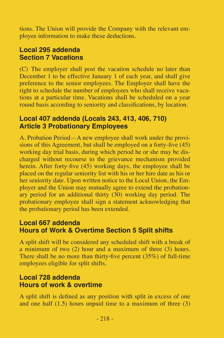tions. The Union will provide the Company with the relevant employee information to make these deductions.

### **Local 295 addenda Section 7 Vacations**

(C) The employer shall post the vacation schedule no later than December 1 to be effective January 1 of each year, and shall give preference to the senior employees. The Employer shall have the right to schedule the number of employees who shall receive vacations at a particular time. Vacations shall be scheduled on a year round basis according to seniority and classifications, by location.

## **Local 407 addenda (Locals 243, 413, 406, 710) Article 3 Probationary Employees**

A. Probation Period—A new employee shall work under the provisions of this Agreement, but shall be employed on a forty-five (45) working day trial basis, during which period he or she may be discharged without recourse to the grievance mechanism provided herein. After forty-five (45) working days, the employee shall be placed on the regular seniority list with his or her hire date as his or her seniority date. Upon written notice to the Local Union, the Employer and the Union may mutually agree to extend the probationary period for an additional thirty (30) working day period. The probationary employee shall sign a statement acknowledging that the probationary period has been extended.

## **Local 667 addenda Hours of Work & Overtime Section 5 Split shifts**

A split shift will be considered any scheduled shift with a break of a minimum of two (2) hour and a maximum of three (3) hours. There shall be no more than thirty-five percent  $(35%)$  of full-time employees eligible for split shifts.

### **Local 728 addenda Hours of work & overtime**

A split shift is defined as any position with split in excess of one and one half  $(1.5)$  hours unpaid time to a maximum of three  $(3)$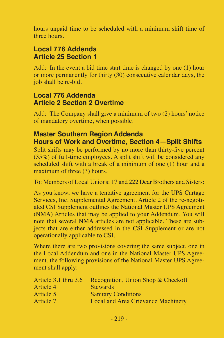hours unpaid time to be scheduled with a minimum shift time of three hours.

## **Local 776 Addenda Article 25 Section 1**

Add: In the event a bid time start time is changed by one (1) hour or more permanently for thirty (30) consecutive calendar days, the job shall be re-bid.

#### **Local 776 Addenda Article 2 Section 2 Overtime**

Add: The Company shall give a minimum of two (2) hours' notice of mandatory overtime, when possible.

### **Master Southern Region Addenda Hours of Work and Overtime, Section 4—Split Shifts**

Split shifts may be performed by no more than thirty-five percent (35%) of full-time employees. A split shift will be considered any scheduled shift with a break of a minimum of one (1) hour and a maximum of three (3) hours.

To: Members of Local Unions: 17 and 222 Dear Brothers and Sisters:

As you know, we have a tentative agreement for the UPS Cartage Services, Inc. Supplemental Agreement. Article 2 of the re-negotiated CSI Supplement outlines the National Master UPS Agreement (NMA) Articles that may be applied to your Addendum. You will note that several NMA articles are not applicable. These are subjects that are either addressed in the CSI Supplement or are not operationally applicable to CSI.

| Article $3.1$ thru $3.6$ | Recognition, Union Shop & Checkoff |
|--------------------------|------------------------------------|
| Article 4                | <b>Stewards</b>                    |
| Article 5                | <b>Sanitary Conditions</b>         |
| Article 7                | Local and Area Grievance Machinery |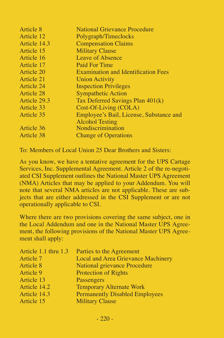| Article 8    | National Grievance Procedure               |
|--------------|--------------------------------------------|
| Article 12   | Polygraph/Timeclocks                       |
| Article 14.3 | <b>Compensation Claims</b>                 |
| Article 15   | <b>Military Clause</b>                     |
| Article 16   | Leave of Absence                           |
| Article 17   | Paid For Time                              |
| Article 20   | <b>Examination and Identification Fees</b> |
| Article 21   | <b>Union Activity</b>                      |
| Article 24   | <b>Inspection Privileges</b>               |
| Article 28   | <b>Sympathetic Action</b>                  |
| Article 29.3 | Tax Deferred Savings Plan 401(k)           |
| Article 33   | Cost-Of-Living (COLA)                      |
| Article 35   | Employee's Bail, License, Substance and    |
|              | <b>Alcohol Testing</b>                     |
| Article 36   | Nondiscrimination                          |
| Article 38   | <b>Change of Operations</b>                |
|              |                                            |

To: Members of Local Union 25 Dear Brothers and Sisters:

As you know, we have a tentative agreement for the UPS Cartage Services, Inc. Supplemental Agreement. Article 2 of the re-negotiated CSI Supplement outlines the National Master UPS Agreement (NMA) Articles that may be applied to your Addendum. You will note that several NMA articles are not applicable. These are subjects that are either addressed in the CSI Supplement or are not operationally applicable to CSI.

|              | Article 1.1 thru 1.3 Parties to the Agreement |
|--------------|-----------------------------------------------|
| Article 7    | Local and Area Grievance Machinery            |
| Article 8    | National grievance Procedure                  |
| Article 9    | <b>Protection of Rights</b>                   |
| Article 13   | Passengers                                    |
| Article 14.2 | <b>Temporary Alternate Work</b>               |
| Article 14.3 | <b>Permanently Disabled Employees</b>         |
| Article 15   | <b>Military Clause</b>                        |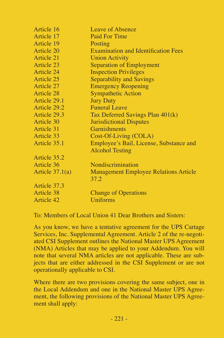| Article 16        | Leave of Absence                             |
|-------------------|----------------------------------------------|
| Article 17        | Paid For Time                                |
| Article 19        | Posting                                      |
| Article 20        | <b>Examination and Identification Fees</b>   |
| Article 21        | <b>Union Activity</b>                        |
| Article 23        | Separation of Employment                     |
| Article 24        | <b>Inspection Privileges</b>                 |
| Article 25        | Separability and Savings                     |
| Article 27        | <b>Emergency Reopening</b>                   |
| Article 28        | <b>Sympathetic Action</b>                    |
| Article 29.1      | <b>Jury Duty</b>                             |
| Article 29.2      | <b>Funeral Leave</b>                         |
| Article 29.3      | Tax Deferred Savings Plan 401(k)             |
| Article 30        | Jurisdictional Disputes                      |
| Article 31        | Garnishments                                 |
| Article 33        | Cost-Of-Living (COLA)                        |
| Article 35.1      | Employee's Bail, License, Substance and      |
|                   | <b>Alcohol Testing</b>                       |
| Article 35.2      |                                              |
| Article 36        | Nondiscrimination                            |
| Article $37.1(a)$ | <b>Management Employee Relations Article</b> |
|                   | 37.2                                         |
| Article 37.3      |                                              |
| Article 38        | <b>Change of Operations</b>                  |
| Article 42        | <b>Uniforms</b>                              |

To: Members of Local Union 41 Dear Brothers and Sisters:

As you know, we have a tentative agreement for the UPS Cartage Services, Inc. Supplemental Agreement. Article 2 of the re-negotiated CSI Supplement outlines the National Master UPS Agreement (NMA) Articles that may be applied to your Addendum. You will note that several NMA articles are not applicable. These are subjects that are either addressed in the CSI Supplement or are not operationally applicable to CSI.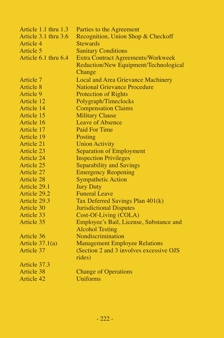| Article 1.1 thru 1.3 | Parties to the Agreement                  |
|----------------------|-------------------------------------------|
| Article 3.1 thru 3.6 | Recognition, Union Shop & Checkoff        |
| Article 4            | <b>Stewards</b>                           |
| Article 5            | <b>Sanitary Conditions</b>                |
| Article 6.1 thru 6.4 | <b>Extra Contract Agreements/Workweek</b> |
|                      | Reduction/New Equipment/Technological     |
|                      | Change                                    |
| Article 7            | Local and Area Grievance Machinery        |
| Article 8            | National Grievance Procedure              |
| Article 9            | <b>Protection of Rights</b>               |
| Article 12           | Polygraph/Timeclocks                      |
| Article 14           | <b>Compensation Claims</b>                |
| Article 15           | <b>Military Clause</b>                    |
| Article 16           | Leave of Absence                          |
| Article 17           | Paid For Time                             |
| Article 19           | Posting                                   |
| Article 21           | <b>Union Activity</b>                     |
| Article 23           | Separation of Employment                  |
| Article 24           | <b>Inspection Privileges</b>              |
| Article 25           | Separability and Savings                  |
| Article 27           | <b>Emergency Reopening</b>                |
| Article 28           | <b>Sympathetic Action</b>                 |
| Article 29.1         | <b>Jury Duty</b>                          |
| Article 29.2         | <b>Funeral Leave</b>                      |
| Article 29.3         | Tax Deferred Savings Plan 401(k)          |
| Article 30           | <b>Jurisdictional Disputes</b>            |
| Article 33           | Cost-Of-Living (COLA)                     |
| Article 35           | Employee's Bail, License, Substance and   |
|                      | <b>Alcohol Testing</b>                    |
| Article 36           | Nondiscrimination                         |
| Article $37.1(a)$    | <b>Management Employee Relations</b>      |
| Article 37           | (Section 2 and 3 involves excessive OJS)  |
|                      | rides)                                    |
| Article 37.3         |                                           |
| Article 38           | <b>Change of Operations</b>               |
| Article 42           | <b>Uniforms</b>                           |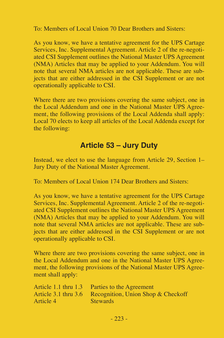To: Members of Local Union 70 Dear Brothers and Sisters:

As you know, we have a tentative agreement for the UPS Cartage Services, Inc. Supplemental Agreement. Article 2 of the re-negotiated CSI Supplement outlines the National Master UPS Agreement (NMA) Articles that may be applied to your Addendum. You will note that several NMA articles are not applicable. These are subjects that are either addressed in the CSI Supplement or are not operationally applicable to CSI.

Where there are two provisions covering the same subject, one in the Local Addendum and one in the National Master UPS Agreement, the following provisions of the Local Addenda shall apply: Local 70 elects to keep all articles of the Local Addenda except for the following:

# **Article 53 – Jury Duty**

Instead, we elect to use the language from Article 29, Section 1– Jury Duty of the National Master Agreement.

To: Members of Local Union 174 Dear Brothers and Sisters:

As you know, we have a tentative agreement for the UPS Cartage Services, Inc. Supplemental Agreement. Article 2 of the re-negotiated CSI Supplement outlines the National Master UPS Agreement (NMA) Articles that may be applied to your Addendum. You will note that several NMA articles are not applicable. These are subjects that are either addressed in the CSI Supplement or are not operationally applicable to CSI.

|           | Article 1.1 thru 1.3 Parties to the Agreement           |
|-----------|---------------------------------------------------------|
|           | Article 3.1 thru 3.6 Recognition, Union Shop & Checkoff |
| Article 4 | <b>Stewards</b>                                         |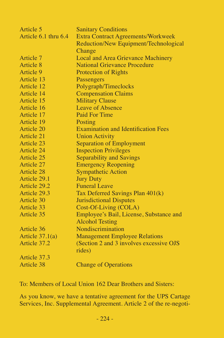| Article 5            | <b>Sanitary Conditions</b>                 |
|----------------------|--------------------------------------------|
| Article 6.1 thru 6.4 | <b>Extra Contract Agreements/Workweek</b>  |
|                      | Reduction/New Equipment/Technological      |
|                      | Change                                     |
| Article 7            | Local and Area Grievance Machinery         |
| Article 8            | National Grievance Procedure               |
| Article 9            | <b>Protection of Rights</b>                |
| Article 13           | Passengers                                 |
| Article 12           | Polygraph/Timeclocks                       |
| Article 14           | <b>Compensation Claims</b>                 |
| Article 15           | <b>Military Clause</b>                     |
| Article 16           | Leave of Absence                           |
| Article 17           | Paid For Time                              |
| Article 19           | Posting                                    |
| Article 20           | <b>Examination and Identification Fees</b> |
| Article 21           | <b>Union Activity</b>                      |
| Article 23           | Separation of Employment                   |
| Article 24           | <b>Inspection Privileges</b>               |
| Article 25           | <b>Separability and Savings</b>            |
| Article 27           | <b>Emergency Reopening</b>                 |
| <b>Article 28</b>    | <b>Sympathetic Action</b>                  |
| Article 29.1         | <b>Jury Duty</b>                           |
| Article 29.2         | <b>Funeral Leave</b>                       |
| Article 29.3         | Tax Deferred Savings Plan 401(k)           |
| Article 30           | <b>Jurisdictional Disputes</b>             |
| Article 33           | Cost-Of-Living (COLA)                      |
| Article 35           | Employee's Bail, License, Substance and    |
|                      | <b>Alcohol Testing</b>                     |
| Article 36           | Nondiscrimination                          |
| Article $37.1(a)$    | <b>Management Employee Relations</b>       |
| Article 37.2         | (Section 2 and 3 involves excessive OJS    |
|                      | rides)                                     |
| Article 37.3         |                                            |
| Article 38           | <b>Change of Operations</b>                |

To: Members of Local Union 162 Dear Brothers and Sisters:

As you know, we have a tentative agreement for the UPS Cartage Services, Inc. Supplemental Agreement. Article 2 of the re-negoti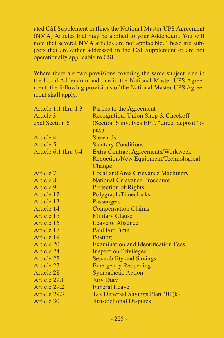ated CSI Supplement outlines the National Master UPS Agreement (NMA) Articles that may be applied to your Addendum. You will note that several NMA articles are not applicable. These are subjects that are either addressed in the CSI Supplement or are not operationally applicable to CSI.

| Article 1.1 thru 1.3 | Parties to the Agreement                     |
|----------------------|----------------------------------------------|
| Article 3            | Recognition, Union Shop & Checkoff           |
| excl Section 6       | (Section 6 involves EFT, "direct deposit" of |
|                      | pay)                                         |
| Article 4            | <b>Stewards</b>                              |
| Article 5            | <b>Sanitary Conditions</b>                   |
| Article 6.1 thru 6.4 | <b>Extra Contract Agreements/Workweek</b>    |
|                      | Reduction/New Equipment/Technological        |
|                      | Change                                       |
| Article 7            | Local and Area Grievance Machinery           |
| Article 8            | National Grievance Procedure                 |
| Article 9            | <b>Protection of Rights</b>                  |
| Article 12           | Polygraph/Timeclocks                         |
| Article 13           | Passengers                                   |
| Article 14           | <b>Compensation Claims</b>                   |
| Article 15           | <b>Military Clause</b>                       |
| Article 16           | Leave of Absence                             |
| Article 17           | Paid For Time                                |
| Article 19           | Posting                                      |
| Article 20           | <b>Examination and Identification Fees</b>   |
| Article 24           | <b>Inspection Privileges</b>                 |
| Article 25           | Separability and Savings                     |
| Article 27           | <b>Emergency Reopening</b>                   |
| Article 28           | <b>Sympathetic Action</b>                    |
| Article 29.1         | <b>Jury Duty</b>                             |
| Article 29.2         | <b>Funeral Leave</b>                         |
| Article 29.3         | Tax Deferred Savings Plan 401(k)             |
| Article 30           | <b>Jurisdictional Disputes</b>               |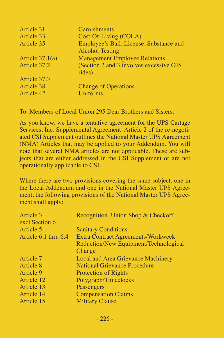| Article 31        | <b>Garnishments</b>                                               |
|-------------------|-------------------------------------------------------------------|
| Article 33        | Cost-Of-Living (COLA)                                             |
| Article 35        | Employee's Bail, License, Substance and<br><b>Alcohol Testing</b> |
| Article $37.1(a)$ | <b>Management Employee Relations</b>                              |
| Article 37.2      | (Section 2 and 3 involves excessive OJS<br>rides)                 |
| Article 37.3      |                                                                   |
| Article 38        | <b>Change of Operations</b>                                       |
| Article 42        | <b>Uniforms</b>                                                   |

To: Members of Local Union 295 Dear Brothers and Sisters:

As you know, we have a tentative agreement for the UPS Cartage Services, Inc. Supplemental Agreement. Article 2 of the re-negotiated CSI Supplement outlines the National Master UPS Agreement (NMA) Articles that may be applied to your Addendum. You will note that several NMA articles are not applicable. These are subjects that are either addressed in the CSI Supplement or are not operationally applicable to CSI.

| Recognition, Union Shop & Checkoff        |
|-------------------------------------------|
|                                           |
| <b>Sanitary Conditions</b>                |
| <b>Extra Contract Agreements/Workweek</b> |
| Reduction/New Equipment/Technological     |
| Change                                    |
| Local and Area Grievance Machinery        |
| <b>National Grievance Procedure</b>       |
| <b>Protection of Rights</b>               |
| Polygraph/Timeclocks                      |
| Passengers                                |
| <b>Compensation Claims</b>                |
| <b>Military Clause</b>                    |
|                                           |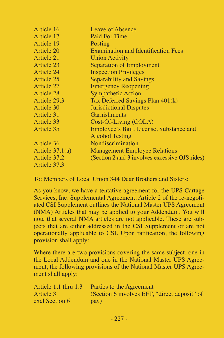| Article 16        | Leave of Absence                               |
|-------------------|------------------------------------------------|
| Article 17        | Paid For Time                                  |
| Article 19        | Posting                                        |
| Article 20        | <b>Examination and Identification Fees</b>     |
| Article 21        | <b>Union Activity</b>                          |
| Article 23        | Separation of Employment                       |
| Article 24        | <b>Inspection Privileges</b>                   |
| Article 25        | Separability and Savings                       |
| Article 27        | <b>Emergency Reopening</b>                     |
| Article 28        | <b>Sympathetic Action</b>                      |
| Article 29.3      | Tax Deferred Savings Plan 401(k)               |
| Article 30        | <b>Jurisdictional Disputes</b>                 |
| Article 31        | Garnishments                                   |
| Article 33        | Cost-Of-Living (COLA)                          |
| Article 35        | Employee's Bail, License, Substance and        |
|                   | Alcohol Testing                                |
| Article 36        | Nondiscrimination                              |
| Article $37.1(a)$ | <b>Management Employee Relations</b>           |
| Article 37.2      | (Section 2 and 3 involves excessive OJS rides) |
| Article 37.3      |                                                |

To: Members of Local Union 344 Dear Brothers and Sisters:

As you know, we have a tentative agreement for the UPS Cartage Services, Inc. Supplemental Agreement. Article 2 of the re-negotiated CSI Supplement outlines the National Master UPS Agreement (NMA) Articles that may be applied to your Addendum. You will note that several NMA articles are not applicable. These are subjects that are either addressed in the CSI Supplement or are not operationally applicable to CSI. Upon ratification, the following provision shall apply:

| Article 1.1 thru 1.3 | Parties to the Agreement                     |
|----------------------|----------------------------------------------|
| Article 3            | (Section 6 involves EFT, "direct deposit" of |
| excl Section 6       | pay)                                         |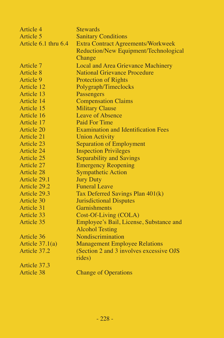| Article 4            | <b>Stewards</b>                            |
|----------------------|--------------------------------------------|
| Article 5            | <b>Sanitary Conditions</b>                 |
| Article 6.1 thru 6.4 | <b>Extra Contract Agreements/Workweek</b>  |
|                      | Reduction/New Equipment/Technological      |
|                      | Change                                     |
| Article 7            | Local and Area Grievance Machinery         |
| Article 8            | <b>National Grievance Procedure</b>        |
| Article 9            | <b>Protection of Rights</b>                |
| Article 12           | Polygraph/Timeclocks                       |
| Article 13           | Passengers                                 |
| Article 14           | <b>Compensation Claims</b>                 |
| Article 15           | <b>Military Clause</b>                     |
| Article 16           | Leave of Absence                           |
| Article 17           | Paid For Time                              |
| Article 20           | <b>Examination and Identification Fees</b> |
| Article 21           | <b>Union Activity</b>                      |
| Article 23           | Separation of Employment                   |
| Article 24           | <b>Inspection Privileges</b>               |
| Article 25           | Separability and Savings                   |
| Article 27           | <b>Emergency Reopening</b>                 |
| Article 28           | <b>Sympathetic Action</b>                  |
| Article 29.1         | <b>Jury Duty</b>                           |
| Article 29.2         | <b>Funeral Leave</b>                       |
| Article 29.3         | Tax Deferred Savings Plan 401(k)           |
| Article 30           | <b>Jurisdictional Disputes</b>             |
| Article 31           | <b>Garnishments</b>                        |
| Article 33           | Cost-Of-Living (COLA)                      |
| Article 35           | Employee's Bail, License, Substance and    |
|                      | <b>Alcohol Testing</b>                     |
| Article 36           | Nondiscrimination                          |
| Article $37.1(a)$    | <b>Management Employee Relations</b>       |
| Article 37.2         | (Section 2 and 3 involves excessive OJS)   |
|                      | rides)                                     |
| Article 37.3         |                                            |
| Article 38           | <b>Change of Operations</b>                |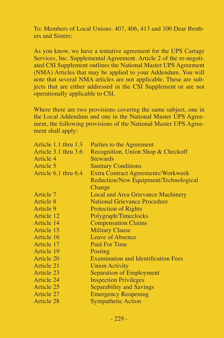To: Members of Local Unions: 407, 406, 413 and 100 Dear Brothers and Sisters:

As you know, we have a tentative agreement for the UPS Cartage Services, Inc. Supplemental Agreement. Article 2 of the re-negotiated CSI Supplement outlines the National Master UPS Agreement (NMA) Articles that may be applied to your Addendum. You will note that several NMA articles are not applicable. These are subjects that are either addressed in the CSI Supplement or are not operationally applicable to CSI.

| Parties to the Agreement                   |
|--------------------------------------------|
| Recognition, Union Shop & Checkoff         |
| <b>Stewards</b>                            |
| <b>Sanitary Conditions</b>                 |
| Extra Contract Agreements/Workweek         |
| Reduction/New Equipment/Technological      |
| Change                                     |
| Local and Area Grievance Machinery         |
| <b>National Grievance Procedure</b>        |
| <b>Protection of Rights</b>                |
| Polygraph/Timeclocks                       |
| <b>Compensation Claims</b>                 |
| <b>Military Clause</b>                     |
| Leave of Absence                           |
| Paid For Time                              |
| Posting                                    |
| <b>Examination and Identification Fees</b> |
| <b>Union Activity</b>                      |
| Separation of Employment                   |
| <b>Inspection Privileges</b>               |
| Separability and Savings                   |
| <b>Emergency Reopening</b>                 |
| <b>Sympathetic Action</b>                  |
|                                            |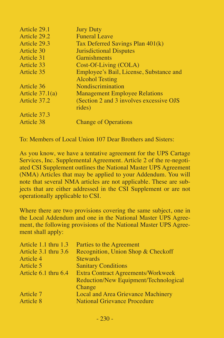| Article 29.1      | <b>Jury Duty</b>                         |
|-------------------|------------------------------------------|
| Article 29.2      | <b>Funeral Leave</b>                     |
| Article 29.3      | Tax Deferred Savings Plan 401(k)         |
| Article 30        | <b>Jurisdictional Disputes</b>           |
| Article 31        | Garnishments                             |
| Article 33        | Cost-Of-Living (COLA)                    |
| Article 35        | Employee's Bail, License, Substance and  |
|                   | <b>Alcohol Testing</b>                   |
| Article 36        | Nondiscrimination                        |
| Article $37.1(a)$ | <b>Management Employee Relations</b>     |
| Article 37.2      | (Section 2 and 3 involves excessive OJS) |
|                   | rides)                                   |
| Article 37.3      |                                          |
| Article 38        | <b>Change of Operations</b>              |
|                   |                                          |

To: Members of Local Union 107 Dear Brothers and Sisters:

As you know, we have a tentative agreement for the UPS Cartage Services, Inc. Supplemental Agreement. Article 2 of the re-negotiated CSI Supplement outlines the National Master UPS Agreement (NMA) Articles that may be applied to your Addendum. You will note that several NMA articles are not applicable. These are subjects that are either addressed in the CSI Supplement or are not operationally applicable to CSI.

| Article 1.1 thru 1.3 | Parties to the Agreement              |
|----------------------|---------------------------------------|
| Article 3.1 thru 3.6 | Recognition, Union Shop & Checkoff    |
| Article 4            | <b>Stewards</b>                       |
| Article 5            | <b>Sanitary Conditions</b>            |
| Article 6.1 thru 6.4 | Extra Contract Agreements/Workweek    |
|                      | Reduction/New Equipment/Technological |
|                      | Change                                |
| Article 7            | Local and Area Grievance Machinery    |
| Article 8            | <b>National Grievance Procedure</b>   |
|                      |                                       |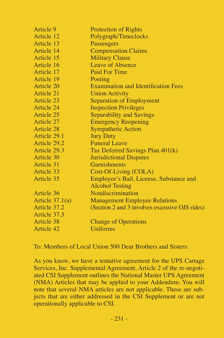| Article 9         | Protection of Rights                           |
|-------------------|------------------------------------------------|
| Article 12        | Polygraph/Timeclocks                           |
| Article 13        | Passengers                                     |
| Article 14        | <b>Compensation Claims</b>                     |
| Article 15        | <b>Military Clause</b>                         |
| Article 16        | Leave of Absence                               |
| Article 17        | Paid For Time                                  |
| Article 19        | Posting                                        |
| Article 20        | <b>Examination and Identification Fees</b>     |
| Article 21        | <b>Union Activity</b>                          |
| Article 23        | <b>Separation of Employment</b>                |
| Article 24        | <b>Inspection Privileges</b>                   |
| Article 25        | Separability and Savings                       |
| Article 27        | <b>Emergency Reopening</b>                     |
| Article 28        | <b>Sympathetic Action</b>                      |
| Article 29.1      | <b>Jury Duty</b>                               |
| Article 29.2      | <b>Funeral Leave</b>                           |
| Article 29.3      | Tax Deferred Savings Plan 401(k)               |
| Article 30        | <b>Jurisdictional Disputes</b>                 |
| Article 31        | Garnishments                                   |
| Article 33        | Cost-Of-Living (COLA)                          |
| Article 35        | Employee's Bail, License, Substance and        |
|                   | <b>Alcohol Testing</b>                         |
| Article 36        | Nondiscrimination                              |
| Article $37.1(a)$ | <b>Management Employee Relations</b>           |
| Article 37.2      | (Section 2 and 3 involves excessive OJS rides) |
| Article 37.3      |                                                |
| Article 38        | <b>Change of Operations</b>                    |
| Article 42        | <b>Uniforms</b>                                |

To: Members of Local Union 500 Dear Brothers and Sisters:

As you know, we have a tentative agreement for the UPS Cartage Services, Inc. Supplemental Agreement. Article 2 of the re-negotiated CSI Supplement outlines the National Master UPS Agreement (NMA) Articles that may be applied to your Addendum. You will note that several NMA articles are not applicable. These are subjects that are either addressed in the CSI Supplement or are not operationally applicable to CSI.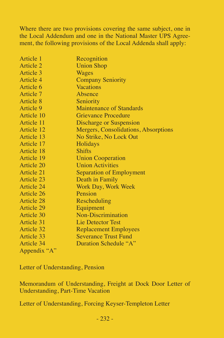Where there are two provisions covering the same subject, one in the Local Addendum and one in the National Master UPS Agreement, the following provisions of the Local Addenda shall apply:

| Article 1    | Recognition                          |
|--------------|--------------------------------------|
| Article 2    | <b>Union Shop</b>                    |
| Article 3    | Wages                                |
| Article 4    | <b>Company Seniority</b>             |
| Article 6    | <b>Vacations</b>                     |
| Article 7    | Absence                              |
| Article 8    | Seniority                            |
| Article 9    | Maintenance of Standards             |
| Article 10   | <b>Grievance Procedure</b>           |
| Article 11   | Discharge or Suspension              |
| Article 12   | Mergers, Consolidations, Absorptions |
| Article 13   | No Strike, No Lock Out               |
| Article 17   | Holidays                             |
| Article 18   | <b>Shifts</b>                        |
| Article 19   | <b>Union Cooperation</b>             |
| Article 20   | <b>Union Activities</b>              |
| Article 21   | Separation of Employment             |
| Article 23   | Death in Family                      |
| Article 24   | Work Day, Work Week                  |
| Article 26   | Pension                              |
| Article 28   | Rescheduling                         |
| Article 29   | Equipment                            |
| Article 30   | Non-Discrimination                   |
| Article 31   | Lie Detector Test                    |
| Article 32   | <b>Replacement Employees</b>         |
| Article 33   | <b>Severance Trust Fund</b>          |
| Article 34   | Duration Schedule "A"                |
| Appendix "A" |                                      |

Letter of Understanding, Pension

Memorandum of Understanding, Freight at Dock Door Letter of Understanding, Part-Time Vacation

Letter of Understanding, Forcing Keyser-Templeton Letter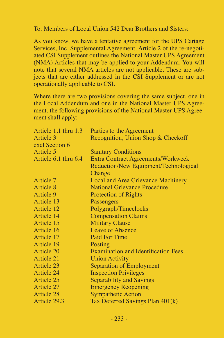To: Members of Local Union 542 Dear Brothers and Sisters:

As you know, we have a tentative agreement for the UPS Cartage Services, Inc. Supplemental Agreement. Article 2 of the re-negotiated CSI Supplement outlines the National Master UPS Agreement (NMA) Articles that may be applied to your Addendum. You will note that several NMA articles are not applicable. These are subjects that are either addressed in the CSI Supplement or are not operationally applicable to CSI.

| Article 1.1 thru 1.3 | Parties to the Agreement                   |
|----------------------|--------------------------------------------|
| Article 3            | Recognition, Union Shop & Checkoff         |
| excl Section 6       |                                            |
| Article 5            | <b>Sanitary Conditions</b>                 |
| Article 6.1 thru 6.4 | <b>Extra Contract Agreements/Workweek</b>  |
|                      | Reduction/New Equipment/Technological      |
|                      | Change                                     |
| Article 7            | Local and Area Grievance Machinery         |
| Article 8            | <b>National Grievance Procedure</b>        |
| Article 9            | <b>Protection of Rights</b>                |
| Article 13           | Passengers                                 |
| Article 12           | Polygraph/Timeclocks                       |
| Article 14           | <b>Compensation Claims</b>                 |
| Article 15           | <b>Military Clause</b>                     |
| Article 16           | Leave of Absence                           |
| Article 17           | <b>Paid For Time</b>                       |
| Article 19           | Posting                                    |
| Article 20           | <b>Examination and Identification Fees</b> |
| Article 21           | <b>Union Activity</b>                      |
| Article 23           | Separation of Employment                   |
| Article 24           | <b>Inspection Privileges</b>               |
| Article 25           | Separability and Savings                   |
| Article 27           | <b>Emergency Reopening</b>                 |
| Article 28           | <b>Sympathetic Action</b>                  |
| Article 29.3         | Tax Deferred Savings Plan 401(k)           |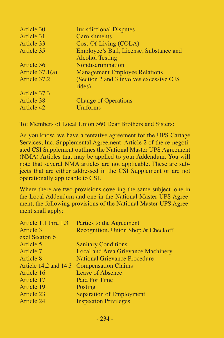| <b>Jurisdictional Disputes</b>                    |
|---------------------------------------------------|
| <b>Garnishments</b>                               |
| Cost-Of-Living (COLA)                             |
| Employee's Bail, License, Substance and           |
| <b>Alcohol Testing</b>                            |
| Nondiscrimination                                 |
| <b>Management Employee Relations</b>              |
| (Section 2 and 3 involves excessive OJS<br>rides) |
|                                                   |
| <b>Change of Operations</b>                       |
| <b>Uniforms</b>                                   |
|                                                   |

To: Members of Local Union 560 Dear Brothers and Sisters:

As you know, we have a tentative agreement for the UPS Cartage Services, Inc. Supplemental Agreement. Article 2 of the re-negotiated CSI Supplement outlines the National Master UPS Agreement (NMA) Articles that may be applied to your Addendum. You will note that several NMA articles are not applicable. These are subjects that are either addressed in the CSI Supplement or are not operationally applicable to CSI.

| Article 1.1 thru 1.3 | Parties to the Agreement                  |
|----------------------|-------------------------------------------|
| Article 3            | Recognition, Union Shop & Checkoff        |
| excl Section 6       |                                           |
| Article 5            | <b>Sanitary Conditions</b>                |
| Article 7            | Local and Area Grievance Machinery        |
| Article 8            | <b>National Grievance Procedure</b>       |
|                      | Article 14.2 and 14.3 Compensation Claims |
| Article 16           | Leave of Absence                          |
| Article 17           | Paid For Time                             |
| Article 19           | Posting                                   |
| Article 23           | Separation of Employment                  |
| Article 24           | <b>Inspection Privileges</b>              |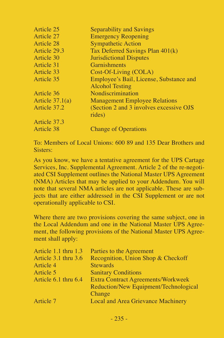| Article 25        | Separability and Savings                 |
|-------------------|------------------------------------------|
| Article 27        | <b>Emergency Reopening</b>               |
| Article 28        | <b>Sympathetic Action</b>                |
| Article 29.3      | Tax Deferred Savings Plan 401(k)         |
| Article 30        | <b>Jurisdictional Disputes</b>           |
| Article 31        | <b>Garnishments</b>                      |
| Article 33        | Cost-Of-Living (COLA)                    |
| Article 35        | Employee's Bail, License, Substance and  |
|                   | <b>Alcohol Testing</b>                   |
| Article 36        | Nondiscrimination                        |
| Article $37.1(a)$ | <b>Management Employee Relations</b>     |
| Article 37.2      | (Section 2 and 3 involves excessive OJS) |
|                   | rides)                                   |
| Article 37.3      |                                          |
| Article 38        | <b>Change of Operations</b>              |

To: Members of Local Unions: 600 89 and 135 Dear Brothers and Sisters:

As you know, we have a tentative agreement for the UPS Cartage Services, Inc. Supplemental Agreement. Article 2 of the re-negotiated CSI Supplement outlines the National Master UPS Agreement (NMA) Articles that may be applied to your Addendum. You will note that several NMA articles are not applicable. These are subjects that are either addressed in the CSI Supplement or are not operationally applicable to CSI.

| Article 1.1 thru 1.3 | Parties to the Agreement                  |
|----------------------|-------------------------------------------|
| Article 3.1 thru 3.6 | Recognition, Union Shop & Checkoff        |
| Article 4            | <b>Stewards</b>                           |
| Article 5            | <b>Sanitary Conditions</b>                |
| Article 6.1 thru 6.4 | <b>Extra Contract Agreements/Workweek</b> |
|                      | Reduction/New Equipment/Technological     |
|                      | Change                                    |
| Article 7            | Local and Area Grievance Machinery        |
|                      |                                           |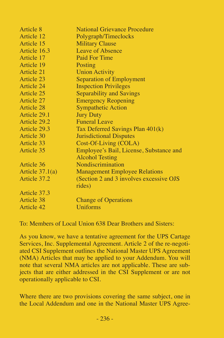| Article 8         | <b>National Grievance Procedure</b>      |
|-------------------|------------------------------------------|
| Article 12        | Polygraph/Timeclocks                     |
| Article 15        | <b>Military Clause</b>                   |
| Article 16.3      | Leave of Absence                         |
| Article 17        | Paid For Time                            |
| Article 19        | Posting                                  |
| Article 21        | <b>Union Activity</b>                    |
| Article 23        | <b>Separation of Employment</b>          |
| Article 24        | <b>Inspection Privileges</b>             |
| Article 25        | Separability and Savings                 |
| Article 27        | <b>Emergency Reopening</b>               |
| Article 28        | <b>Sympathetic Action</b>                |
| Article 29.1      | <b>Jury Duty</b>                         |
| Article 29.2      | <b>Funeral Leave</b>                     |
| Article 29.3      | Tax Deferred Savings Plan 401(k)         |
| Article 30        | <b>Jurisdictional Disputes</b>           |
| Article 33        | Cost-Of-Living (COLA)                    |
| Article 35        | Employee's Bail, License, Substance and  |
|                   | <b>Alcohol Testing</b>                   |
| Article 36        | Nondiscrimination                        |
| Article $37.1(a)$ | <b>Management Employee Relations</b>     |
| Article 37.2      | (Section 2 and 3 involves excessive OJS) |
|                   | rides)                                   |
| Article 37.3      |                                          |
| Article 38        | <b>Change of Operations</b>              |
| Article 42        | Uniforms                                 |

To: Members of Local Union 638 Dear Brothers and Sisters:

As you know, we have a tentative agreement for the UPS Cartage Services, Inc. Supplemental Agreement. Article 2 of the re-negotiated CSI Supplement outlines the National Master UPS Agreement (NMA) Articles that may be applied to your Addendum. You will note that several NMA articles are not applicable. These are subjects that are either addressed in the CSI Supplement or are not operationally applicable to CSI.

Where there are two provisions covering the same subject, one in the Local Addendum and one in the National Master UPS Agree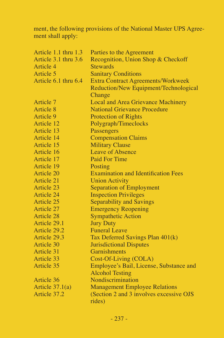ment, the following provisions of the National Master UPS Agreement shall apply:

| Recognition, Union Shop & Checkoff<br><b>Stewards</b><br><b>Sanitary Conditions</b><br><b>Extra Contract Agreements/Workweek</b><br>Reduction/New Equipment/Technological<br>Change<br>Local and Area Grievance Machinery<br>National Grievance Procedure<br><b>Protection of Rights</b><br>Polygraph/Timeclocks<br>Passengers<br><b>Compensation Claims</b><br><b>Military Clause</b><br>Article 15<br>Leave of Absence<br>Paid For Time<br>Article 17<br>Posting<br><b>Examination and Identification Fees</b><br><b>Union Activity</b><br><b>Separation of Employment</b><br><b>Inspection Privileges</b><br>Separability and Savings<br><b>Emergency Reopening</b><br><b>Sympathetic Action</b><br><b>Jury Duty</b><br><b>Funeral Leave</b><br>Tax Deferred Savings Plan 401(k)<br>Jurisdictional Disputes<br>Garnishments<br>Cost-Of-Living (COLA) | Article 1.1 thru 1.3 | Parties to the Agreement                |
|---------------------------------------------------------------------------------------------------------------------------------------------------------------------------------------------------------------------------------------------------------------------------------------------------------------------------------------------------------------------------------------------------------------------------------------------------------------------------------------------------------------------------------------------------------------------------------------------------------------------------------------------------------------------------------------------------------------------------------------------------------------------------------------------------------------------------------------------------------|----------------------|-----------------------------------------|
|                                                                                                                                                                                                                                                                                                                                                                                                                                                                                                                                                                                                                                                                                                                                                                                                                                                         | Article 3.1 thru 3.6 |                                         |
|                                                                                                                                                                                                                                                                                                                                                                                                                                                                                                                                                                                                                                                                                                                                                                                                                                                         | Article 4            |                                         |
|                                                                                                                                                                                                                                                                                                                                                                                                                                                                                                                                                                                                                                                                                                                                                                                                                                                         | Article 5            |                                         |
|                                                                                                                                                                                                                                                                                                                                                                                                                                                                                                                                                                                                                                                                                                                                                                                                                                                         | Article 6.1 thru 6.4 |                                         |
|                                                                                                                                                                                                                                                                                                                                                                                                                                                                                                                                                                                                                                                                                                                                                                                                                                                         |                      |                                         |
|                                                                                                                                                                                                                                                                                                                                                                                                                                                                                                                                                                                                                                                                                                                                                                                                                                                         |                      |                                         |
|                                                                                                                                                                                                                                                                                                                                                                                                                                                                                                                                                                                                                                                                                                                                                                                                                                                         | Article 7            |                                         |
|                                                                                                                                                                                                                                                                                                                                                                                                                                                                                                                                                                                                                                                                                                                                                                                                                                                         | Article 8            |                                         |
|                                                                                                                                                                                                                                                                                                                                                                                                                                                                                                                                                                                                                                                                                                                                                                                                                                                         | Article 9            |                                         |
|                                                                                                                                                                                                                                                                                                                                                                                                                                                                                                                                                                                                                                                                                                                                                                                                                                                         | Article 12           |                                         |
|                                                                                                                                                                                                                                                                                                                                                                                                                                                                                                                                                                                                                                                                                                                                                                                                                                                         | Article 13           |                                         |
|                                                                                                                                                                                                                                                                                                                                                                                                                                                                                                                                                                                                                                                                                                                                                                                                                                                         | Article 14           |                                         |
|                                                                                                                                                                                                                                                                                                                                                                                                                                                                                                                                                                                                                                                                                                                                                                                                                                                         |                      |                                         |
|                                                                                                                                                                                                                                                                                                                                                                                                                                                                                                                                                                                                                                                                                                                                                                                                                                                         | Article 16           |                                         |
|                                                                                                                                                                                                                                                                                                                                                                                                                                                                                                                                                                                                                                                                                                                                                                                                                                                         |                      |                                         |
|                                                                                                                                                                                                                                                                                                                                                                                                                                                                                                                                                                                                                                                                                                                                                                                                                                                         | Article 19           |                                         |
|                                                                                                                                                                                                                                                                                                                                                                                                                                                                                                                                                                                                                                                                                                                                                                                                                                                         | Article 20           |                                         |
|                                                                                                                                                                                                                                                                                                                                                                                                                                                                                                                                                                                                                                                                                                                                                                                                                                                         | Article 21           |                                         |
|                                                                                                                                                                                                                                                                                                                                                                                                                                                                                                                                                                                                                                                                                                                                                                                                                                                         | Article 23           |                                         |
|                                                                                                                                                                                                                                                                                                                                                                                                                                                                                                                                                                                                                                                                                                                                                                                                                                                         | Article 24           |                                         |
|                                                                                                                                                                                                                                                                                                                                                                                                                                                                                                                                                                                                                                                                                                                                                                                                                                                         | Article 25           |                                         |
|                                                                                                                                                                                                                                                                                                                                                                                                                                                                                                                                                                                                                                                                                                                                                                                                                                                         | Article 27           |                                         |
|                                                                                                                                                                                                                                                                                                                                                                                                                                                                                                                                                                                                                                                                                                                                                                                                                                                         | Article 28           |                                         |
|                                                                                                                                                                                                                                                                                                                                                                                                                                                                                                                                                                                                                                                                                                                                                                                                                                                         | Article 29.1         |                                         |
|                                                                                                                                                                                                                                                                                                                                                                                                                                                                                                                                                                                                                                                                                                                                                                                                                                                         | Article 29.2         |                                         |
|                                                                                                                                                                                                                                                                                                                                                                                                                                                                                                                                                                                                                                                                                                                                                                                                                                                         | Article 29.3         |                                         |
|                                                                                                                                                                                                                                                                                                                                                                                                                                                                                                                                                                                                                                                                                                                                                                                                                                                         | Article 30           |                                         |
|                                                                                                                                                                                                                                                                                                                                                                                                                                                                                                                                                                                                                                                                                                                                                                                                                                                         | Article 31           |                                         |
|                                                                                                                                                                                                                                                                                                                                                                                                                                                                                                                                                                                                                                                                                                                                                                                                                                                         | Article 33           |                                         |
|                                                                                                                                                                                                                                                                                                                                                                                                                                                                                                                                                                                                                                                                                                                                                                                                                                                         | Article 35           | Employee's Bail, License, Substance and |
| <b>Alcohol Testing</b>                                                                                                                                                                                                                                                                                                                                                                                                                                                                                                                                                                                                                                                                                                                                                                                                                                  |                      |                                         |
| Nondiscrimination                                                                                                                                                                                                                                                                                                                                                                                                                                                                                                                                                                                                                                                                                                                                                                                                                                       | Article 36           |                                         |
| <b>Management Employee Relations</b>                                                                                                                                                                                                                                                                                                                                                                                                                                                                                                                                                                                                                                                                                                                                                                                                                    | Article $37.1(a)$    |                                         |
| (Section 2 and 3 involves excessive OJS                                                                                                                                                                                                                                                                                                                                                                                                                                                                                                                                                                                                                                                                                                                                                                                                                 | Article 37.2         |                                         |
| rides)                                                                                                                                                                                                                                                                                                                                                                                                                                                                                                                                                                                                                                                                                                                                                                                                                                                  |                      |                                         |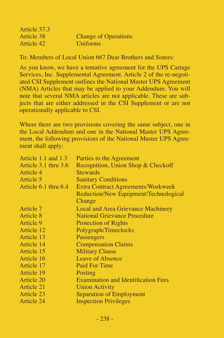| Article 37.3 |                             |
|--------------|-----------------------------|
| Article 38   | <b>Change of Operations</b> |
| Article 42   | <b>Uniforms</b>             |

To: Members of Local Union 667 Dear Brothers and Sisters:

As you know, we have a tentative agreement for the UPS Cartage Services, Inc. Supplemental Agreement. Article 2 of the re-negotiated CSI Supplement outlines the National Master UPS Agreement (NMA) Articles that may be applied to your Addendum. You will note that several NMA articles are not applicable. These are subjects that are either addressed in the CSI Supplement or are not operationally applicable to CSI.

| Article 1.1 and $1.3$ | Parties to the Agreement                   |
|-----------------------|--------------------------------------------|
| Article 3.1 thru 3.6  | Recognition, Union Shop & Checkoff         |
| Article 4             | <b>Stewards</b>                            |
| Article 5             | <b>Sanitary Conditions</b>                 |
| Article 6.1 thru 6.4  | <b>Extra Contract Agreements/Workweek</b>  |
|                       | Reduction/New Equipment/Technological      |
|                       | Change                                     |
| Article 7             | Local and Area Grievance Machinery         |
| Article 8             | National Grievance Procedure               |
| Article 9             | <b>Protection of Rights</b>                |
| Article 12            | Polygraph/Timeclocks                       |
| Article 13            | Passengers                                 |
| Article 14            | <b>Compensation Claims</b>                 |
| Article 15            | <b>Military Clause</b>                     |
| Article 16            | Leave of Absence                           |
| Article 17            | Paid For Time                              |
| Article 19            | Posting                                    |
| Article 20            | <b>Examination and Identification Fees</b> |
| Article 21            | <b>Union Activity</b>                      |
| Article 23            | Separation of Employment                   |
| Article 24            | <b>Inspection Privileges</b>               |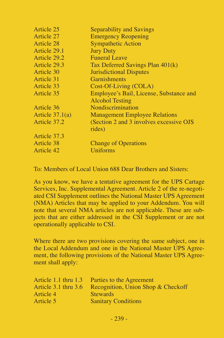| Article 25        | <b>Separability and Savings</b>                    |
|-------------------|----------------------------------------------------|
| Article 27        | <b>Emergency Reopening</b>                         |
| Article 28        | <b>Sympathetic Action</b>                          |
| Article 29.1      | <b>Jury Duty</b>                                   |
| Article 29.2      | <b>Funeral Leave</b>                               |
| Article 29.3      | Tax Deferred Savings Plan 401(k)                   |
| Article 30        | <b>Jurisdictional Disputes</b>                     |
| Article 31        | Garnishments                                       |
| Article 33        | Cost-Of-Living (COLA)                              |
| Article 35        | Employee's Bail, License, Substance and            |
|                   | <b>Alcohol Testing</b>                             |
| Article 36        | Nondiscrimination                                  |
| Article $37.1(a)$ | <b>Management Employee Relations</b>               |
| Article 37.2      | (Section 2 and 3 involves excessive OJS)<br>rides) |
| Article 37.3      |                                                    |
| Article 38        | <b>Change of Operations</b>                        |
| Article 42        | Uniforms                                           |
|                   |                                                    |

To: Members of Local Union 688 Dear Brothers and Sisters:

As you know, we have a tentative agreement for the UPS Cartage Services, Inc. Supplemental Agreement. Article 2 of the re-negotiated CSI Supplement outlines the National Master UPS Agreement (NMA) Articles that may be applied to your Addendum. You will note that several NMA articles are not applicable. These are subjects that are either addressed in the CSI Supplement or are not operationally applicable to CSI.

| Article 1.1 thru 1.3     | Parties to the Agreement           |
|--------------------------|------------------------------------|
| Article $3.1$ thru $3.6$ | Recognition, Union Shop & Checkoff |
| Article 4                | <b>Stewards</b>                    |
| Article 5                | <b>Sanitary Conditions</b>         |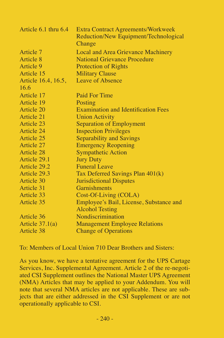| Article 6.1 thru 6.4 | <b>Extra Contract Agreements/Workweek</b><br>Reduction/New Equipment/Technological<br>Change |
|----------------------|----------------------------------------------------------------------------------------------|
| Article 7            | Local and Area Grievance Machinery                                                           |
| Article 8            | <b>National Grievance Procedure</b>                                                          |
| Article 9            | <b>Protection of Rights</b>                                                                  |
| Article 15           | <b>Military Clause</b>                                                                       |
| Article 16.4, 16.5,  | Leave of Absence                                                                             |
| 16.6                 |                                                                                              |
| Article 17           | Paid For Time                                                                                |
| Article 19           | Posting                                                                                      |
| Article 20           | <b>Examination and Identification Fees</b>                                                   |
| Article 21           | <b>Union Activity</b>                                                                        |
| Article 23           | <b>Separation of Employment</b>                                                              |
| Article 24           | <b>Inspection Privileges</b>                                                                 |
| Article 25           | Separability and Savings                                                                     |
| Article 27           | <b>Emergency Reopening</b>                                                                   |
| Article 28           | <b>Sympathetic Action</b>                                                                    |
| Article 29.1         | <b>Jury Duty</b>                                                                             |
| Article 29.2         | <b>Funeral Leave</b>                                                                         |
| Article 29.3         | Tax Deferred Savings Plan 401(k)                                                             |
| Article 30           | <b>Jurisdictional Disputes</b>                                                               |
| Article 31           | Garnishments                                                                                 |
| Article 33           | Cost-Of-Living (COLA)                                                                        |
| Article 35           | Employee's Bail, License, Substance and                                                      |
|                      | <b>Alcohol Testing</b>                                                                       |
| Article 36           | Nondiscrimination                                                                            |
| Article $37.1(a)$    | <b>Management Employee Relations</b>                                                         |
| Article 38           | <b>Change of Operations</b>                                                                  |

To: Members of Local Union 710 Dear Brothers and Sisters:

As you know, we have a tentative agreement for the UPS Cartage Services, Inc. Supplemental Agreement. Article 2 of the re-negotiated CSI Supplement outlines the National Master UPS Agreement (NMA) Articles that may be applied to your Addendum. You will note that several NMA articles are not applicable. These are subjects that are either addressed in the CSI Supplement or are not operationally applicable to CSI.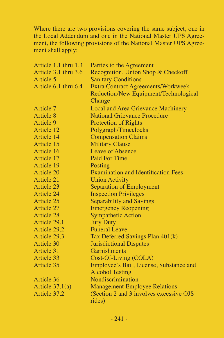| Article 1.1 thru 1.3 | Parties to the Agreement                   |
|----------------------|--------------------------------------------|
| Article 3.1 thru 3.6 | Recognition, Union Shop & Checkoff         |
| Article 5            | <b>Sanitary Conditions</b>                 |
| Article 6.1 thru 6.4 | <b>Extra Contract Agreements/Workweek</b>  |
|                      | Reduction/New Equipment/Technological      |
|                      | Change                                     |
| Article 7            | Local and Area Grievance Machinery         |
| Article 8            | <b>National Grievance Procedure</b>        |
| Article 9            | <b>Protection of Rights</b>                |
| Article 12           | Polygraph/Timeclocks                       |
| Article 14           | <b>Compensation Claims</b>                 |
| Article 15           | <b>Military Clause</b>                     |
| Article 16           | Leave of Absence                           |
| Article 17           | Paid For Time                              |
| Article 19           | Posting                                    |
| Article 20           | <b>Examination and Identification Fees</b> |
| Article 21           | <b>Union Activity</b>                      |
| Article 23           | Separation of Employment                   |
| Article 24           | <b>Inspection Privileges</b>               |
| Article 25           | Separability and Savings                   |
| Article 27           | <b>Emergency Reopening</b>                 |
| Article 28           | <b>Sympathetic Action</b>                  |
| Article 29.1         | <b>Jury Duty</b>                           |
| Article 29.2         | <b>Funeral Leave</b>                       |
| Article 29.3         | Tax Deferred Savings Plan 401(k)           |
| Article 30           | <b>Jurisdictional Disputes</b>             |
| Article 31           | Garnishments                               |
| Article 33           | Cost-Of-Living (COLA)                      |
| Article 35           | Employee's Bail, License, Substance and    |
|                      | <b>Alcohol Testing</b>                     |
| Article 36           | Nondiscrimination                          |
| Article $37.1(a)$    | <b>Management Employee Relations</b>       |
| Article 37.2         | (Section 2 and 3 involves excessive OJS)   |
|                      | rides)                                     |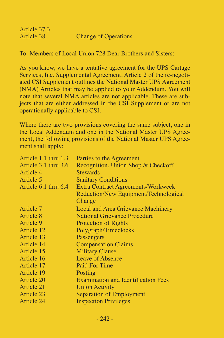| Article 37.3 |                             |
|--------------|-----------------------------|
| Article 38   | <b>Change of Operations</b> |

To: Members of Local Union 728 Dear Brothers and Sisters:

As you know, we have a tentative agreement for the UPS Cartage Services, Inc. Supplemental Agreement. Article 2 of the re-negotiated CSI Supplement outlines the National Master UPS Agreement (NMA) Articles that may be applied to your Addendum. You will note that several NMA articles are not applicable. These are subjects that are either addressed in the CSI Supplement or are not operationally applicable to CSI.

| Article $1.1$ thru $1.3$ | Parties to the Agreement                   |
|--------------------------|--------------------------------------------|
| Article 3.1 thru 3.6     | Recognition, Union Shop & Checkoff         |
| Article 4                | <b>Stewards</b>                            |
| Article 5                | <b>Sanitary Conditions</b>                 |
| Article 6.1 thru 6.4     | Extra Contract Agreements/Workweek         |
|                          | Reduction/New Equipment/Technological      |
|                          | Change                                     |
| Article 7                | Local and Area Grievance Machinery         |
| Article 8                | <b>National Grievance Procedure</b>        |
| Article 9                | <b>Protection of Rights</b>                |
| Article 12               | Polygraph/Timeclocks                       |
| Article 13               | Passengers                                 |
| Article 14               | <b>Compensation Claims</b>                 |
| Article 15               | <b>Military Clause</b>                     |
| Article 16               | Leave of Absence                           |
| Article 17               | Paid For Time                              |
| Article 19               | Posting                                    |
| Article 20               | <b>Examination and Identification Fees</b> |
| Article 21               | <b>Union Activity</b>                      |
| Article 23               | Separation of Employment                   |
| Article 24               | <b>Inspection Privileges</b>               |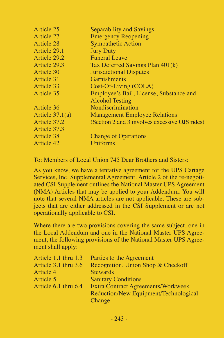| Article 27<br><b>Emergency Reopening</b><br><b>Sympathetic Action</b><br>Article 28<br><b>Jury Duty</b><br>Article 29.1<br><b>Funeral Leave</b><br>Article 29.2<br>Article 29.3<br>Tax Deferred Savings Plan 401(k)<br>Article 30<br><b>Jurisdictional Disputes</b><br>Article 31<br>Garnishments<br>Article 33<br>Cost-Of-Living (COLA)<br>Employee's Bail, License, Substance and<br>Article 35 | Article 25 | Separability and Savings                       |
|---------------------------------------------------------------------------------------------------------------------------------------------------------------------------------------------------------------------------------------------------------------------------------------------------------------------------------------------------------------------------------------------------|------------|------------------------------------------------|
|                                                                                                                                                                                                                                                                                                                                                                                                   |            |                                                |
|                                                                                                                                                                                                                                                                                                                                                                                                   |            |                                                |
|                                                                                                                                                                                                                                                                                                                                                                                                   |            |                                                |
|                                                                                                                                                                                                                                                                                                                                                                                                   |            |                                                |
|                                                                                                                                                                                                                                                                                                                                                                                                   |            |                                                |
|                                                                                                                                                                                                                                                                                                                                                                                                   |            |                                                |
|                                                                                                                                                                                                                                                                                                                                                                                                   |            |                                                |
|                                                                                                                                                                                                                                                                                                                                                                                                   |            |                                                |
|                                                                                                                                                                                                                                                                                                                                                                                                   |            |                                                |
| <b>Alcohol Testing</b>                                                                                                                                                                                                                                                                                                                                                                            |            |                                                |
| Nondiscrimination<br>Article 36                                                                                                                                                                                                                                                                                                                                                                   |            |                                                |
| Article $37.1(a)$<br><b>Management Employee Relations</b>                                                                                                                                                                                                                                                                                                                                         |            |                                                |
| Article 37.2                                                                                                                                                                                                                                                                                                                                                                                      |            | (Section 2 and 3 involves excessive OJS rides) |
| Article 37.3                                                                                                                                                                                                                                                                                                                                                                                      |            |                                                |
| Article 38<br><b>Change of Operations</b>                                                                                                                                                                                                                                                                                                                                                         |            |                                                |
| Uniforms<br>Article 42                                                                                                                                                                                                                                                                                                                                                                            |            |                                                |

To: Members of Local Union 745 Dear Brothers and Sisters:

As you know, we have a tentative agreement for the UPS Cartage Services, Inc. Supplemental Agreement. Article 2 of the re-negotiated CSI Supplement outlines the National Master UPS Agreement (NMA) Articles that may be applied to your Addendum. You will note that several NMA articles are not applicable. These are subjects that are either addressed in the CSI Supplement or are not operationally applicable to CSI.

| Article 1.1 thru 1.3     | Parties to the Agreement                  |
|--------------------------|-------------------------------------------|
| Article $3.1$ thru $3.6$ | Recognition, Union Shop & Checkoff        |
| Article 4                | <b>Stewards</b>                           |
| Article 5                | <b>Sanitary Conditions</b>                |
| Article 6.1 thru 6.4     | <b>Extra Contract Agreements/Workweek</b> |
|                          | Reduction/New Equipment/Technological     |
|                          | Change                                    |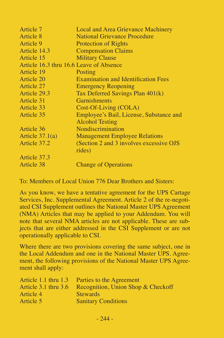| Article 7                               | Local and Area Grievance Machinery         |
|-----------------------------------------|--------------------------------------------|
| Article 8                               | <b>National Grievance Procedure</b>        |
| Article 9                               | <b>Protection of Rights</b>                |
| Article 14.3                            | <b>Compensation Claims</b>                 |
| Article 15                              | <b>Military Clause</b>                     |
| Article 16.3 thru 16.6 Leave of Absence |                                            |
| Article 19                              | Posting                                    |
| Article 20                              | <b>Examination and Identification Fees</b> |
| Article 27                              | <b>Emergency Reopening</b>                 |
| Article 29.3                            | Tax Deferred Savings Plan 401(k)           |
| Article 31                              | Garnishments                               |
| Article 33                              | Cost-Of-Living (COLA)                      |
| Article 35                              | Employee's Bail, License, Substance and    |
|                                         | <b>Alcohol Testing</b>                     |
| Article 36                              | Nondiscrimination                          |
| Article $37.1(a)$                       | <b>Management Employee Relations</b>       |
| Article 37.2                            | (Section 2 and 3 involves excessive OJS)   |
|                                         | rides)                                     |
| Article 37.3                            |                                            |
| Article 38                              | <b>Change of Operations</b>                |

To: Members of Local Union 776 Dear Brothers and Sisters:

As you know, we have a tentative agreement for the UPS Cartage Services, Inc. Supplemental Agreement. Article 2 of the re-negotiated CSI Supplement outlines the National Master UPS Agreement (NMA) Articles that may be applied to your Addendum. You will note that several NMA articles are not applicable. These are subjects that are either addressed in the CSI Supplement or are not operationally applicable to CSI.

| Article 1.1 thru 1.3 | Parties to the Agreement           |
|----------------------|------------------------------------|
| Article 3.1 thru 3.6 | Recognition, Union Shop & Checkoff |
| Article 4            | <b>Stewards</b>                    |
| Article 5            | <b>Sanitary Conditions</b>         |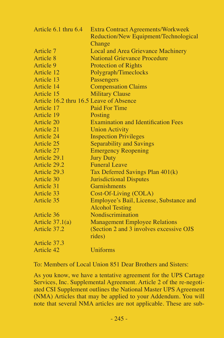| Article 6.1 thru 6.4                    | <b>Extra Contract Agreements/Workweek</b><br>Reduction/New Equipment/Technological |
|-----------------------------------------|------------------------------------------------------------------------------------|
|                                         | Change                                                                             |
| Article 7                               | Local and Area Grievance Machinery                                                 |
| Article 8                               | <b>National Grievance Procedure</b>                                                |
| Article 9                               | <b>Protection of Rights</b>                                                        |
| Article 12                              | Polygraph/Timeclocks                                                               |
| Article 13                              | Passengers                                                                         |
| Article 14                              | <b>Compensation Claims</b>                                                         |
| Article 15                              | <b>Military Clause</b>                                                             |
| Article 16.2 thru 16.5 Leave of Absence |                                                                                    |
| Article 17                              | Paid For Time                                                                      |
| Article 19                              | Posting                                                                            |
| Article 20                              | <b>Examination and Identification Fees</b>                                         |
| Article 21                              | <b>Union Activity</b>                                                              |
| Article 24                              | <b>Inspection Privileges</b>                                                       |
| Article 25                              | Separability and Savings                                                           |
| Article 27                              | <b>Emergency Reopening</b>                                                         |
| Article 29.1                            | <b>Jury Duty</b>                                                                   |
| Article 29.2                            | <b>Funeral Leave</b>                                                               |
| Article 29.3                            | Tax Deferred Savings Plan 401(k)                                                   |
| Article 30                              | <b>Jurisdictional Disputes</b>                                                     |
| Article 31                              | Garnishments                                                                       |
| Article 33                              | Cost-Of-Living (COLA)                                                              |
| Article 35                              | Employee's Bail, License, Substance and                                            |
|                                         | <b>Alcohol Testing</b>                                                             |
| Article 36                              | Nondiscrimination                                                                  |
| Article $37.1(a)$                       | <b>Management Employee Relations</b>                                               |
| Article 37.2                            | (Section 2 and 3 involves excessive OJS)                                           |
|                                         | rides)                                                                             |
| Article 37.3                            |                                                                                    |
| Article 42                              | Uniforms                                                                           |

To: Members of Local Union 851 Dear Brothers and Sisters:

As you know, we have a tentative agreement for the UPS Cartage Services, Inc. Supplemental Agreement. Article 2 of the re-negotiated CSI Supplement outlines the National Master UPS Agreement (NMA) Articles that may be applied to your Addendum. You will note that several NMA articles are not applicable. These are sub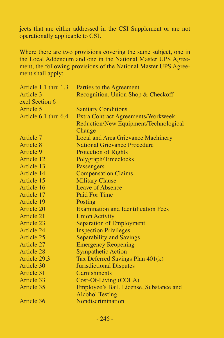jects that are either addressed in the CSI Supplement or are not operationally applicable to CSI.

| Article 1.1 thru 1.3 | Parties to the Agreement                   |
|----------------------|--------------------------------------------|
| Article 3            | Recognition, Union Shop & Checkoff         |
| excl Section 6       |                                            |
| Article 5            | <b>Sanitary Conditions</b>                 |
| Article 6.1 thru 6.4 | <b>Extra Contract Agreements/Workweek</b>  |
|                      | Reduction/New Equipment/Technological      |
|                      | Change                                     |
| Article 7            | Local and Area Grievance Machinery         |
| Article 8            | <b>National Grievance Procedure</b>        |
| Article 9            | <b>Protection of Rights</b>                |
| Article 12           | Polygraph/Timeclocks                       |
| Article 13           | Passengers                                 |
| Article 14           | <b>Compensation Claims</b>                 |
| Article 15           | <b>Military Clause</b>                     |
| Article 16           | Leave of Absence                           |
| Article 17           | Paid For Time                              |
| Article 19           | Posting                                    |
| Article 20           | <b>Examination and Identification Fees</b> |
| Article 21           | <b>Union Activity</b>                      |
| Article 23           | Separation of Employment                   |
| Article 24           | <b>Inspection Privileges</b>               |
| Article 25           | Separability and Savings                   |
| Article 27           | <b>Emergency Reopening</b>                 |
| <b>Article 28</b>    | <b>Sympathetic Action</b>                  |
| Article 29.3         | Tax Deferred Savings Plan 401(k)           |
| Article 30           | <b>Jurisdictional Disputes</b>             |
| Article 31           | Garnishments                               |
| Article 33           | Cost-Of-Living (COLA)                      |
| Article 35           | Employee's Bail, License, Substance and    |
|                      | <b>Alcohol Testing</b>                     |
| Article 36           | Nondiscrimination                          |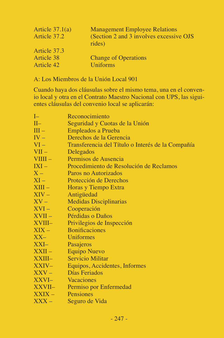| Article $37.1(a)$ | <b>Management Employee Relations</b>               |
|-------------------|----------------------------------------------------|
| Article 37.2      | (Section 2 and 3 involves excessive OJS)<br>rides) |
| Article 37.3      |                                                    |
| Article 38        | <b>Change of Operations</b>                        |
| Article 42        | Uniforms                                           |

A: Los Miembros de la Unión Local 901

Cuando haya dos cláusulas sobre el mismo tema, una en el convenio local y otra en el Contrato Maestro Nacional con UPS, las siguientes cláusulas del convenio local se aplicarán:

| $I-$      | Reconocimiento                                    |
|-----------|---------------------------------------------------|
| $II-$     | Seguridad y Cuotas de la Unión                    |
| $III -$   | Empleados a Prueba                                |
| $IV -$    | Derechos de la Gerencia                           |
| $VI -$    | Transferencia del Título o Interés de la Compañía |
| $VII -$   | Delegados                                         |
| $VIII -$  | Permisos de Ausencia                              |
| $IXI -$   | Procedimiento de Resolución de Reclamos           |
| $X -$     | Paros no Autorizados                              |
| $XI -$    | Protección de Derechos                            |
| $XIII -$  | Horas y Tiempo Extra                              |
| $XIV -$   | Antigüedad                                        |
| $XV -$    | Medidas Disciplinarias                            |
| $XVI -$   | Cooperación                                       |
| $XVII -$  | Pérdidas o Daños                                  |
| XVIII-    | Privilegios de Inspección                         |
| $XIX -$   | <b>Bonificaciones</b>                             |
| $XX-$     | Uniformes                                         |
| $XXI-$    | Pasajeros                                         |
| $XXII -$  | <b>Equipo Nuevo</b>                               |
| $XXIII -$ | <b>Servicio Militar</b>                           |
| $XXIV-$   | Equipos, Accidentes, Informes                     |
| $XXV -$   | Días Feriados                                     |
| XXVI-     | Vacaciones                                        |
| XXVII–    | Permiso por Enfermedad                            |
| $XXIX -$  | Pensiones                                         |
| $XXX -$   | Seguro de Vida                                    |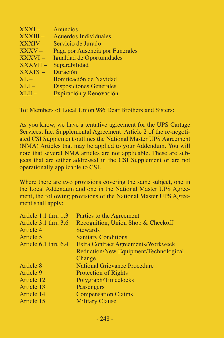| $\overline{\text{XXXI}}$ – | Anuncios                        |
|----------------------------|---------------------------------|
| XXXIII –                   | Acuerdos Individuales           |
| <b>XXXIV-</b>              | Servicio de Jurado              |
| XXXV –                     | Paga por Ausencia por Funerales |
| XXXVI –                    | Igualdad de Oportunidades       |
| <b>XXXVII-</b>             | Separabilidad                   |
| XXXIX –                    | Duración                        |
| $\rm{XL} -$                | Bonificación de Navidad         |
| $XLI-$                     | <b>Disposiciones Generales</b>  |
| $XLII -$                   | Expiración y Renovación         |

To: Members of Local Union 986 Dear Brothers and Sisters:

As you know, we have a tentative agreement for the UPS Cartage Services, Inc. Supplemental Agreement. Article 2 of the re-negotiated CSI Supplement outlines the National Master UPS Agreement (NMA) Articles that may be applied to your Addendum. You will note that several NMA articles are not applicable. These are subjects that are either addressed in the CSI Supplement or are not operationally applicable to CSI.

| Parties to the Agreement              |
|---------------------------------------|
| Recognition, Union Shop & Checkoff    |
| <b>Stewards</b>                       |
| <b>Sanitary Conditions</b>            |
| Extra Contract Agreements/Workweek    |
| Reduction/New Equipment/Technological |
| Change                                |
| <b>National Grievance Procedure</b>   |
| <b>Protection of Rights</b>           |
| Polygraph/Timeclocks                  |
| Passengers                            |
| <b>Compensation Claims</b>            |
| <b>Military Clause</b>                |
|                                       |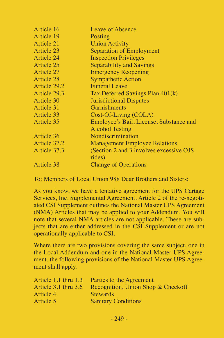| Article 16   | Leave of Absence                         |
|--------------|------------------------------------------|
| Article 19   | Posting                                  |
| Article 21   | <b>Union Activity</b>                    |
| Article 23   | Separation of Employment                 |
| Article 24   | <b>Inspection Privileges</b>             |
| Article 25   | Separability and Savings                 |
| Article 27   | <b>Emergency Reopening</b>               |
| Article 28   | <b>Sympathetic Action</b>                |
| Article 29.2 | <b>Funeral Leave</b>                     |
| Article 29.3 | Tax Deferred Savings Plan 401(k)         |
| Article 30   | <b>Jurisdictional Disputes</b>           |
| Article 31   | <b>Garnishments</b>                      |
| Article 33   | Cost-Of-Living (COLA)                    |
| Article 35   | Employee's Bail, License, Substance and  |
|              | Alcohol Testing                          |
| Article 36   | Nondiscrimination                        |
| Article 37.2 | <b>Management Employee Relations</b>     |
| Article 37.3 | (Section 2 and 3 involves excessive OJS) |
|              | rides)                                   |
| Article 38   | <b>Change of Operations</b>              |

To: Members of Local Union 988 Dear Brothers and Sisters:

As you know, we have a tentative agreement for the UPS Cartage Services, Inc. Supplemental Agreement. Article 2 of the re-negotiated CSI Supplement outlines the National Master UPS Agreement (NMA) Articles that may be applied to your Addendum. You will note that several NMA articles are not applicable. These are subjects that are either addressed in the CSI Supplement or are not operationally applicable to CSI.

| Article 1.1 thru 1.3     | Parties to the Agreement           |
|--------------------------|------------------------------------|
| Article $3.1$ thru $3.6$ | Recognition, Union Shop & Checkoff |
| Article 4                | <b>Stewards</b>                    |
| Article 5                | <b>Sanitary Conditions</b>         |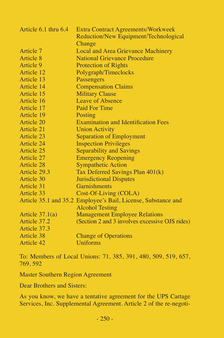| Article 6.1 thru 6.4 | <b>Extra Contract Agreements/Workweek</b>                     |
|----------------------|---------------------------------------------------------------|
|                      | Reduction/New Equipment/Technological                         |
|                      | Change                                                        |
| Article 7            | Local and Area Grievance Machinery                            |
| Article 8            | <b>National Grievance Procedure</b>                           |
| Article 9            | <b>Protection of Rights</b>                                   |
| Article 12           | Polygraph/Timeclocks                                          |
| Article 13           | Passengers                                                    |
| Article 14           | <b>Compensation Claims</b>                                    |
| Article 15           | <b>Military Clause</b>                                        |
| Article 16           | Leave of Absence                                              |
| Article 17           | Paid For Time                                                 |
| Article 19           | Posting                                                       |
| Article 20           | <b>Examination and Identification Fees</b>                    |
| Article 21           | <b>Union Activity</b>                                         |
| Article 23           | Separation of Employment                                      |
| Article 24           | <b>Inspection Privileges</b>                                  |
| Article 25           | Separability and Savings                                      |
| Article 27           | <b>Emergency Reopening</b>                                    |
| Article 28           | <b>Sympathetic Action</b>                                     |
| Article 29.3         | Tax Deferred Savings Plan 401(k)                              |
| Article 30           | <b>Jurisdictional Disputes</b>                                |
| Article 31           | Garnishments                                                  |
| Article 33           | Cost-Of-Living (COLA)                                         |
|                      | Article 35.1 and 35.2 Employee's Bail, License, Substance and |
|                      | <b>Alcohol Testing</b>                                        |
| Article $37.1(a)$    | <b>Management Employee Relations</b>                          |
| Article 37.2         | (Section 2 and 3 involves excessive OJS rides)                |
| Article 37.3         |                                                               |
| Article 38           | <b>Change of Operations</b>                                   |
| Article 42           | Uniforms                                                      |
|                      |                                                               |

To: Members of Local Unions: 71, 385, 391, 480, 509, 519, 657, 769, 592

Master Southern Region Agreement

Dear Brothers and Sisters:

As you know, we have a tentative agreement for the UPS Cartage Services, Inc. Supplemental Agreement. Article 2 of the re-negoti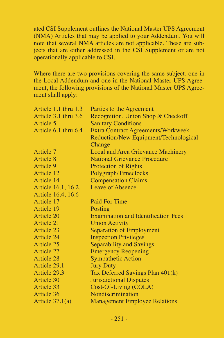ated CSI Supplement outlines the National Master UPS Agreement (NMA) Articles that may be applied to your Addendum. You will note that several NMA articles are not applicable. These are subjects that are either addressed in the CSI Supplement or are not operationally applicable to CSI.

| Parties to the Agreement                   |
|--------------------------------------------|
| Recognition, Union Shop & Checkoff         |
| <b>Sanitary Conditions</b>                 |
| Extra Contract Agreements/Workweek         |
| Reduction/New Equipment/Technological      |
| Change                                     |
| Local and Area Grievance Machinery         |
| National Grievance Procedure               |
| <b>Protection of Rights</b>                |
| Polygraph/Timeclocks                       |
| <b>Compensation Claims</b>                 |
| Leave of Absence                           |
|                                            |
| Paid For Time                              |
| Posting                                    |
| <b>Examination and Identification Fees</b> |
| <b>Union Activity</b>                      |
| Separation of Employment                   |
| <b>Inspection Privileges</b>               |
| Separability and Savings                   |
| <b>Emergency Reopening</b>                 |
| <b>Sympathetic Action</b>                  |
| <b>Jury Duty</b>                           |
| Tax Deferred Savings Plan 401(k)           |
| <b>Jurisdictional Disputes</b>             |
| Cost-Of-Living (COLA)                      |
| Nondiscrimination                          |
| <b>Management Employee Relations</b>       |
|                                            |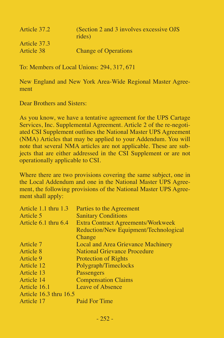| Article 37.2 | (Section 2 and 3 involves excessive OJS)<br>rides) |
|--------------|----------------------------------------------------|
| Article 37.3 |                                                    |
| Article 38   | <b>Change of Operations</b>                        |

To: Members of Local Unions: 294, 317, 671

New England and New York Area-Wide Regional Master Agreement

Dear Brothers and Sisters:

As you know, we have a tentative agreement for the UPS Cartage Services, Inc. Supplemental Agreement. Article 2 of the re-negotiated CSI Supplement outlines the National Master UPS Agreement (NMA) Articles that may be applied to your Addendum. You will note that several NMA articles are not applicable. These are subjects that are either addressed in the CSI Supplement or are not operationally applicable to CSI.

| Article 1.1 thru 1.3   | Parties to the Agreement              |
|------------------------|---------------------------------------|
| Article 5              | <b>Sanitary Conditions</b>            |
| Article 6.1 thru 6.4   | Extra Contract Agreements/Workweek    |
|                        | Reduction/New Equipment/Technological |
|                        | Change                                |
| Article 7              | Local and Area Grievance Machinery    |
| Article 8              | <b>National Grievance Procedure</b>   |
| Article 9              | <b>Protection of Rights</b>           |
| Article 12             | Polygraph/Timeclocks                  |
| Article 13             | Passengers                            |
| Article 14             | <b>Compensation Claims</b>            |
| Article 16.1           | Leave of Absence                      |
| Article 16.3 thru 16.5 |                                       |
| Article 17             | Paid For Time                         |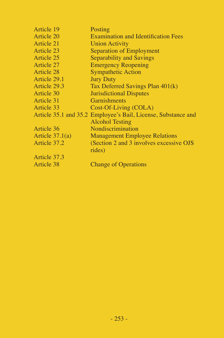| Article 19        | Posting                                                       |
|-------------------|---------------------------------------------------------------|
| Article 20        | <b>Examination and Identification Fees</b>                    |
| Article 21        | <b>Union Activity</b>                                         |
| Article 23        | Separation of Employment                                      |
| Article 25        | Separability and Savings                                      |
| Article 27        | <b>Emergency Reopening</b>                                    |
| Article 28        | <b>Sympathetic Action</b>                                     |
| Article 29.1      | <b>Jury Duty</b>                                              |
| Article 29.3      | Tax Deferred Savings Plan 401(k)                              |
| Article 30        | <b>Jurisdictional Disputes</b>                                |
| Article 31        | Garnishments                                                  |
| Article 33        | Cost-Of-Living (COLA)                                         |
|                   | Article 35.1 and 35.2 Employee's Bail, License, Substance and |
|                   | <b>Alcohol Testing</b>                                        |
| Article 36        | Nondiscrimination                                             |
| Article $37.1(a)$ | <b>Management Employee Relations</b>                          |
| Article 37.2      | (Section 2 and 3 involves excessive OJS)                      |
|                   | rides)                                                        |
| Article 37.3      |                                                               |
| Article 38        | <b>Change of Operations</b>                                   |
|                   |                                                               |